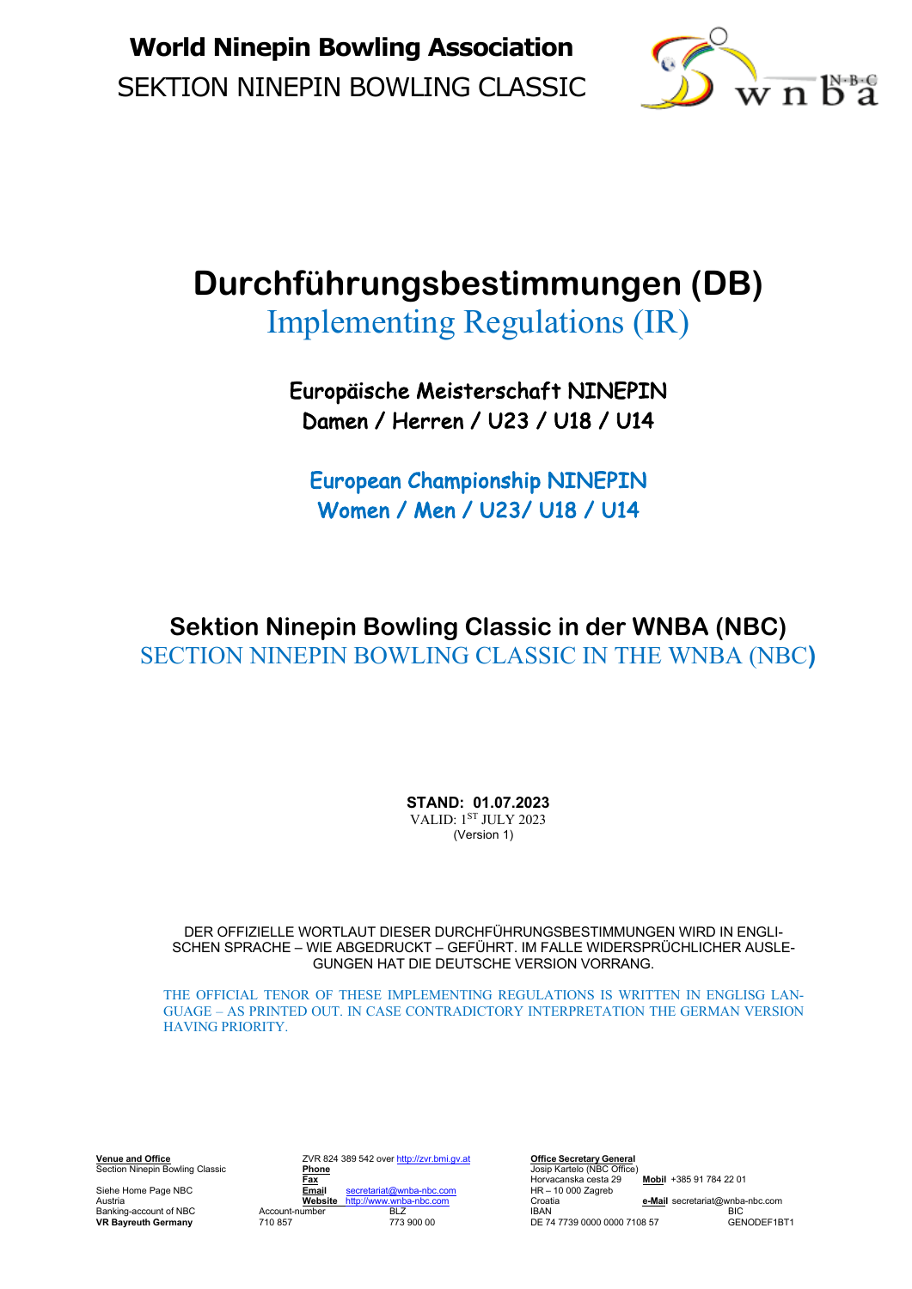

# **Durchführungsbestimmungen (DB)**

Implementing Regulations (IR)

Europäische Meisterschaft NINEPIN Damen / Herren / U23 / U18 / U14

European Championship NINEPIN Women / Men / U23/ U18 / U14

**Sektion Ninepin Bowling Classic in der WNBA (NBC)** SECTION NINEPIN BOWLING CLASSIC IN THE WNBA (NBC**)**

> **STAND: 01.07.2023** VALID: 1ST JULY 2023 (Version 1)

DER OFFIZIELLE WORTLAUT DIESER DURCHFÜHRUNGSBESTIMMUNGEN WIRD IN ENGLI-SCHEN SPRACHE – WIE ABGEDRUCKT – GEFÜHRT. IM FALLE WIDERSPRÜCHLICHER AUSLE-GUNGEN HAT DIE DEUTSCHE VERSION VORRANG.

THE OFFICIAL TENOR OF THESE IMPLEMENTING REGULATIONS IS WRITTEN IN ENGLISG LAN-GUAGE – AS PRINTED OUT. IN CASE CONTRADICTORY INTERPRETATION THE GERMAN VERSION HAVING PRIORITY.

**VR Bayreuth Germany** 710 857

**Venue and Office** ZVR 824 389 542 over http://zvr.bmi.gv.at **Office Secretary General Venue and Office**<br> **Section Ninepin Bowling Classic** Phone **Phone Phone Phone** Josip Kartelo (NBC Office)<br> **Phone Phone Phone Phone Phone Phone Phone Phone Phone Phone Phone Phone Phone Phone Fax** Horvacanska cesta 29 **Mobil** +385 91 784 22 01<br> **Fax** Horvacanska cesta 29 **Mobil** +385 91 784 22 01<br> **Fax** Horvacanska cesta 29 **Mobil** +385 91 784 22 01 Siehe Home Page NBC<br> **Email** secretariat@wnba-nbc.com HR – 10<br> **Website** http://www.wnba-nbc.com Croatia Austria **Website** http://www.wnba-nbc.com Croatia **e-Mail** secretariat@wnba-nbc.com

Account-number BLZ IBBAN<br>Banking-account of NBC Account-number BLZ IBAN BIC<br>The Failure of Account-number BLZ IBAN DE 74.7739.0000.0000.7108.57 CENODEF1RT1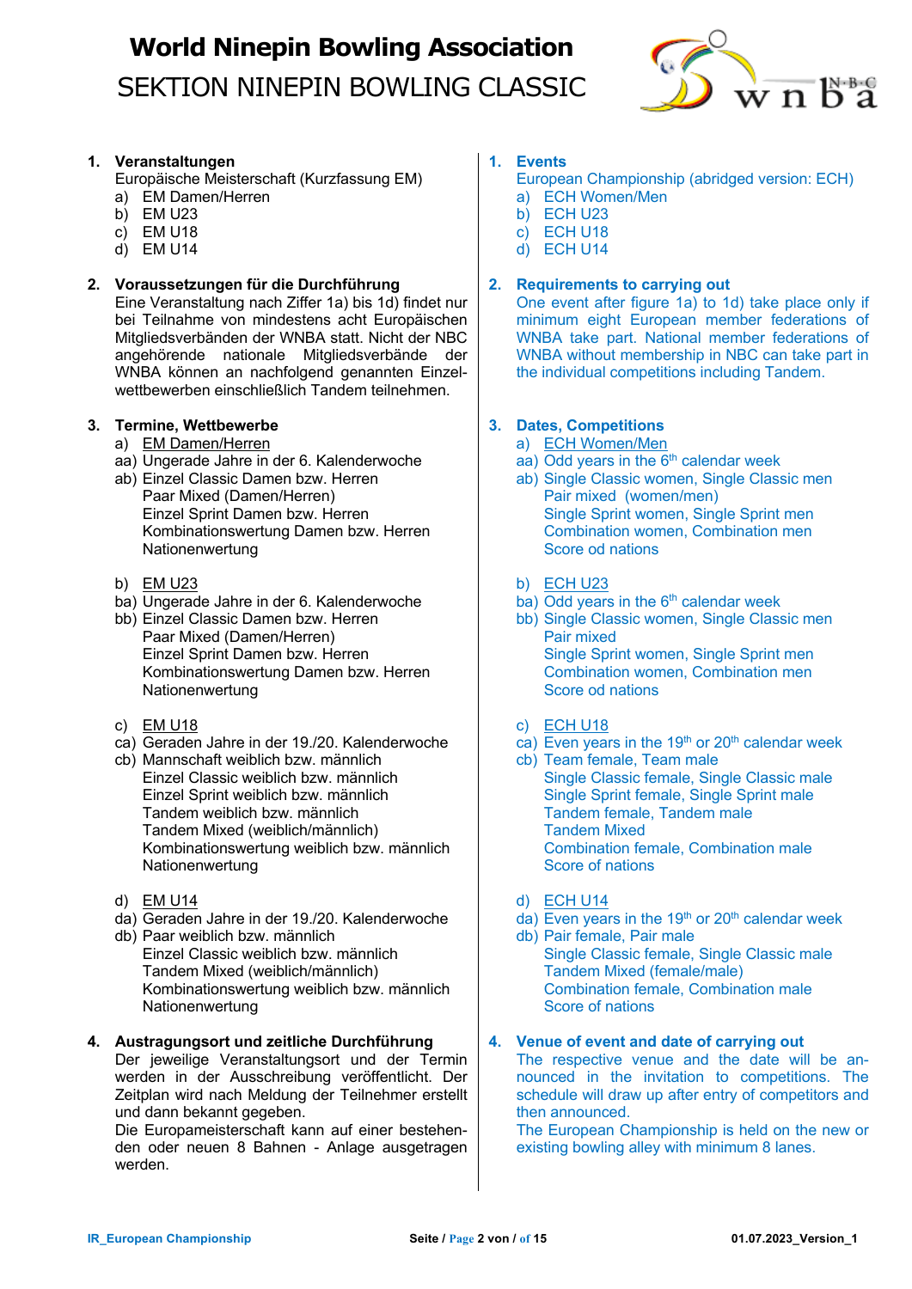

### **1. Veranstaltungen**

- Europäische Meisterschaft (Kurzfassung EM)
- a) EM Damen/Herren
- $\overrightarrow{b}$  EM U23
- c) EM U18
- d) EM U14

### **2. Voraussetzungen für die Durchführung**

Eine Veranstaltung nach Ziffer 1a) bis 1d) findet nur bei Teilnahme von mindestens acht Europäischen Mitgliedsverbänden der WNBA statt. Nicht der NBC angehörende nationale Mitgliedsverbände der WNBA können an nachfolgend genannten Einzelwettbewerben einschließlich Tandem teilnehmen.

### **3. Termine, Wettbewerbe**

- a) EM Damen/Herren
- aa) Ungerade Jahre in der 6. Kalenderwoche
- ab) Einzel Classic Damen bzw. Herren Paar Mixed (Damen/Herren) Einzel Sprint Damen bzw. Herren Kombinationswertung Damen bzw. Herren **Nationenwertung**
- b) EM U23
- ba) Ungerade Jahre in der 6. Kalenderwoche
- bb) Einzel Classic Damen bzw. Herren Paar Mixed (Damen/Herren) Einzel Sprint Damen bzw. Herren Kombinationswertung Damen bzw. Herren Nationenwertung
- c) EM U18
- ca) Geraden Jahre in der 19./20. Kalenderwoche
- cb) Mannschaft weiblich bzw. männlich Einzel Classic weiblich bzw. männlich Einzel Sprint weiblich bzw. männlich Tandem weiblich bzw. männlich Tandem Mixed (weiblich/männlich) Kombinationswertung weiblich bzw. männlich Nationenwertung
- d) EM U14
- da) Geraden Jahre in der 19./20. Kalenderwoche
- db) Paar weiblich bzw. männlich Einzel Classic weiblich bzw. männlich Tandem Mixed (weiblich/männlich) Kombinationswertung weiblich bzw. männlich Nationenwertung

### **4. Austragungsort und zeitliche Durchführung**

Der jeweilige Veranstaltungsort und der Termin werden in der Ausschreibung veröffentlicht. Der Zeitplan wird nach Meldung der Teilnehmer erstellt und dann bekannt gegeben.

Die Europameisterschaft kann auf einer bestehenden oder neuen 8 Bahnen - Anlage ausgetragen werden.

## **1. Events**

- European Championship (abridged version: ECH)
- a) ECH Women/Men
- b) ECH U23
- c) ECH U18
- d) ECH U14

### **2. Requirements to carrying out**

One event after figure 1a) to 1d) take place only if minimum eight European member federations of WNBA take part. National member federations of WNBA without membership in NBC can take part in the individual competitions including Tandem.

## **3. Dates, Competitions**

- a) ECH Women/Men
- aa) Odd years in the  $6<sup>th</sup>$  calendar week
- ab) Single Classic women, Single Classic men Pair mixed (women/men) Single Sprint women, Single Sprint men Combination women, Combination men Score od nations
- b) ECH U23
- ba) Odd years in the  $6<sup>th</sup>$  calendar week
- bb) Single Classic women, Single Classic men Pair mixed Single Sprint women, Single Sprint men Combination women, Combination men Score od nations
- c) ECH U18
- $ca)$  Even years in the 19<sup>th</sup> or 20<sup>th</sup> calendar week
- cb) Team female, Team male Single Classic female, Single Classic male Single Sprint female, Single Sprint male Tandem female, Tandem male Tandem Mixed Combination female, Combination male Score of nations
- d) ECH U14
- $\overline{d}$  Even years in the 19<sup>th</sup> or 20<sup>th</sup> calendar week
- db) Pair female, Pair male Single Classic female, Single Classic male Tandem Mixed (female/male) Combination female, Combination male Score of nations

### **4. Venue of event and date of carrying out**

The respective venue and the date will be announced in the invitation to competitions. The schedule will draw up after entry of competitors and then announced.

The European Championship is held on the new or existing bowling alley with minimum 8 lanes.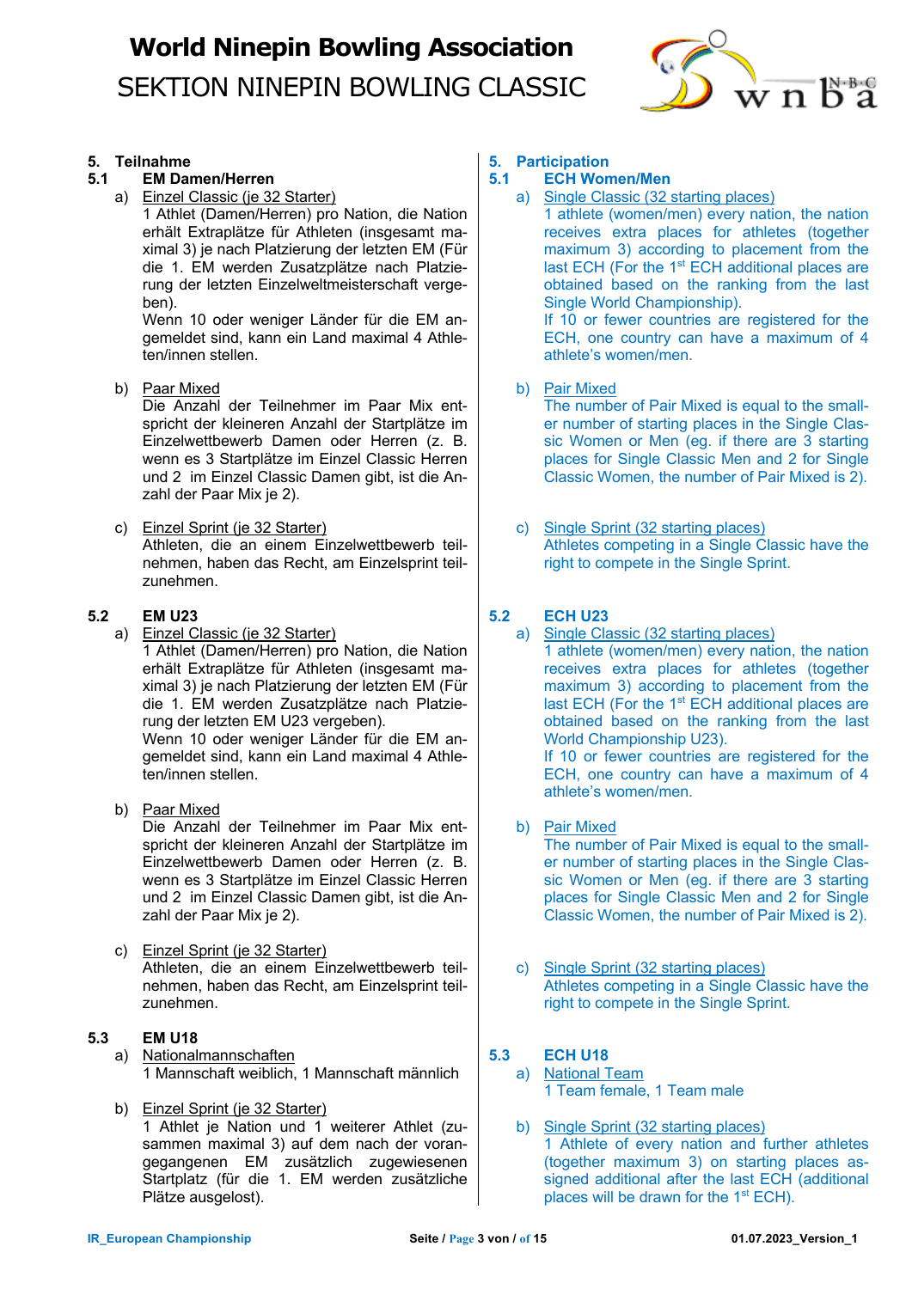

### **5. Teilnahme**

- **5.1 EM Damen/Herren**
	- a) Einzel Classic (je 32 Starter)

1 Athlet (Damen/Herren) pro Nation, die Nation erhält Extraplätze für Athleten (insgesamt maximal 3) je nach Platzierung der letzten EM (Für die 1. EM werden Zusatzplätze nach Platzierung der letzten Einzelweltmeisterschaft vergeben).

Wenn 10 oder weniger Länder für die EM angemeldet sind, kann ein Land maximal 4 Athleten/innen stellen.

b) Paar Mixed

Die Anzahl der Teilnehmer im Paar Mix entspricht der kleineren Anzahl der Startplätze im Einzelwettbewerb Damen oder Herren (z. B. wenn es 3 Startplätze im Einzel Classic Herren und 2 im Einzel Classic Damen gibt, ist die Anzahl der Paar Mix je 2).

c) Einzel Sprint (je 32 Starter) Athleten, die an einem Einzelwettbewerb teilnehmen, haben das Recht, am Einzelsprint teilzunehmen.

### **5.2 EM U23**

a) Einzel Classic (je 32 Starter)

1 Athlet (Damen/Herren) pro Nation, die Nation erhält Extraplätze für Athleten (insgesamt maximal 3) je nach Platzierung der letzten EM (Für die 1. EM werden Zusatzplätze nach Platzierung der letzten EM U23 vergeben).

Wenn 10 oder weniger Länder für die EM angemeldet sind, kann ein Land maximal 4 Athleten/innen stellen.

- b) Paar Mixed Die Anzahl der Teilnehmer im Paar Mix entspricht der kleineren Anzahl der Startplätze im Einzelwettbewerb Damen oder Herren (z. B. wenn es 3 Startplätze im Einzel Classic Herren und 2 im Einzel Classic Damen gibt, ist die Anzahl der Paar Mix je 2).
- c) Einzel Sprint (je 32 Starter) Athleten, die an einem Einzelwettbewerb teilnehmen, haben das Recht, am Einzelsprint teilzunehmen.

### **5.3 EM U18**

- a) Nationalmannschaften 1 Mannschaft weiblich, 1 Mannschaft männlich
- b) Einzel Sprint (je 32 Starter) 1 Athlet je Nation und 1 weiterer Athlet (zusammen maximal 3) auf dem nach der vorangegangenen EM zusätzlich zugewiesenen Startplatz (für die 1. EM werden zusätzliche Plätze ausgelost).

## **5. Participation**

- **5.1 ECH Women/Men**
	- a) Single Classic (32 starting places)

1 athlete (women/men) every nation, the nation receives extra places for athletes (together maximum 3) according to placement from the last ECH (For the 1<sup>st</sup> ECH additional places are obtained based on the ranking from the last Single World Championship).

If 10 or fewer countries are registered for the ECH, one country can have a maximum of 4 athlete's women/men.

b) Pair Mixed

The number of Pair Mixed is equal to the smaller number of starting places in the Single Classic Women or Men (eg. if there are 3 starting places for Single Classic Men and 2 for Single Classic Women, the number of Pair Mixed is 2).

c) Single Sprint (32 starting places) Athletes competing in a Single Classic have the right to compete in the Single Sprint.

## **5.2 ECH U23**

a) Single Classic (32 starting places) 1 athlete (women/men) every nation, the nation receives extra places for athletes (together maximum 3) according to placement from the last ECH (For the 1<sup>st</sup> ECH additional places are obtained based on the ranking from the last World Championship U23).

If 10 or fewer countries are registered for the ECH, one country can have a maximum of 4 athlete's women/men.

b) Pair Mixed

The number of Pair Mixed is equal to the smaller number of starting places in the Single Classic Women or Men (eg. if there are 3 starting places for Single Classic Men and 2 for Single Classic Women, the number of Pair Mixed is 2).

c) Single Sprint (32 starting places) Athletes competing in a Single Classic have the right to compete in the Single Sprint.

## **5.3 ECH U18**

- a) National Team 1 Team female, 1 Team male
- b) Single Sprint (32 starting places) 1 Athlete of every nation and further athletes (together maximum 3) on starting places assigned additional after the last ECH (additional places will be drawn for the  $1<sup>st</sup> ECH$ ).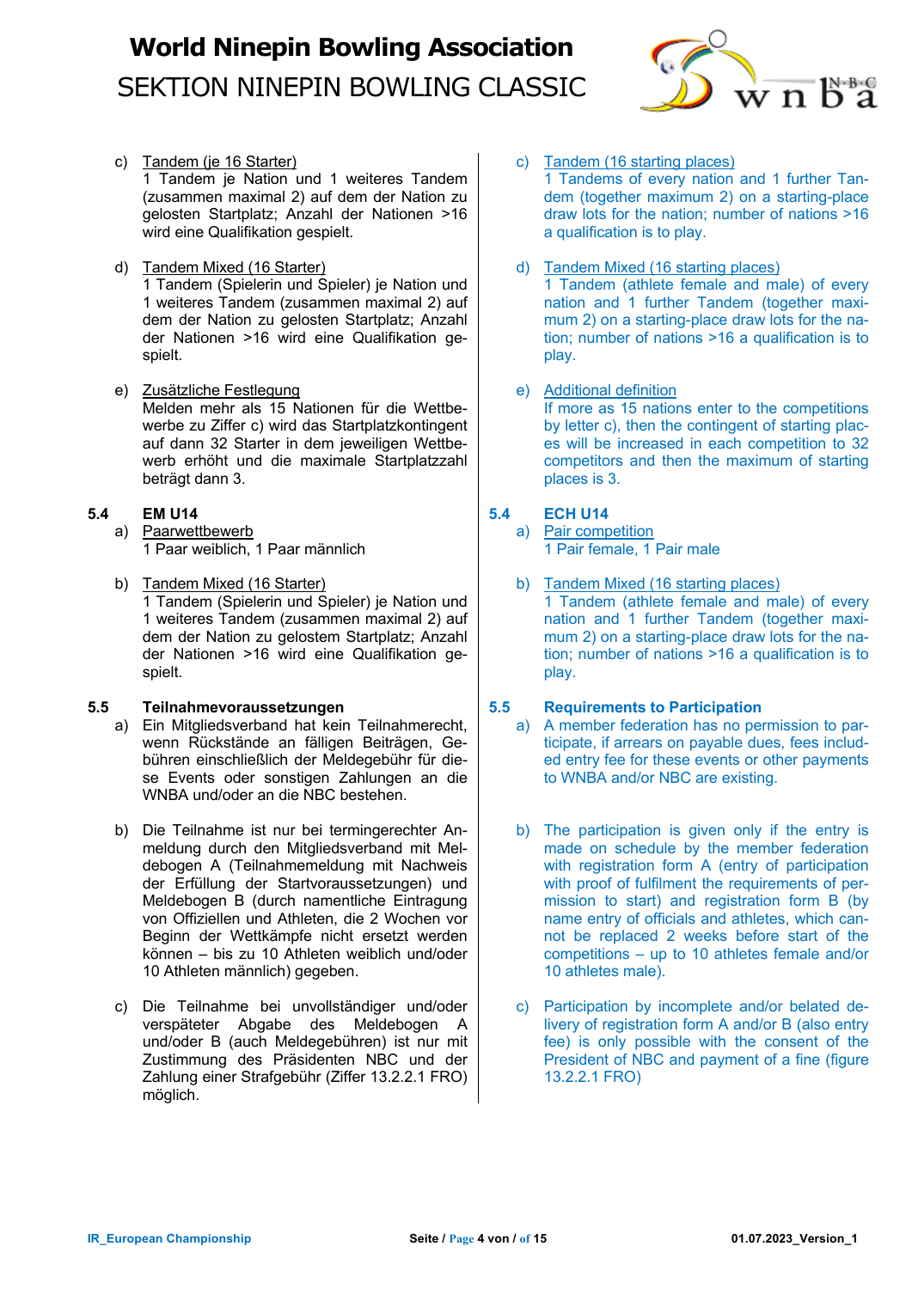

- c) Tandem (ie 16 Starter) 1 Tandem je Nation und 1 weiteres Tandem (zusammen maximal 2) auf dem der Nation zu gelosten Startplatz; Anzahl der Nationen >16 wird eine Qualifikation gespielt.
- d) Tandem Mixed (16 Starter)

1 Tandem (Spielerin und Spieler) je Nation und 1 weiteres Tandem (zusammen maximal 2) auf dem der Nation zu gelosten Startplatz; Anzahl der Nationen >16 wird eine Qualifikation gespielt.

e) Zusätzliche Festlegung Melden mehr als 15 Nationen für die Wettbewerbe zu Ziffer c) wird das Startplatzkontingent auf dann 32 Starter in dem jeweiligen Wettbewerb erhöht und die maximale Startplatzzahl beträgt dann 3.

### **5.4 EM U14**

- a) Paarwettbewerb 1 Paar weiblich, 1 Paar männlich
- b) Tandem Mixed (16 Starter) 1 Tandem (Spielerin und Spieler) je Nation und 1 weiteres Tandem (zusammen maximal 2) auf dem der Nation zu gelostem Startplatz; Anzahl der Nationen >16 wird eine Qualifikation gespielt.

### **5.5 Teilnahmevoraussetzungen**

- a) Ein Mitgliedsverband hat kein Teilnahmerecht, wenn Rückstände an fälligen Beiträgen, Gebühren einschließlich der Meldegebühr für diese Events oder sonstigen Zahlungen an die WNBA und/oder an die NBC bestehen.
- b) Die Teilnahme ist nur bei termingerechter Anmeldung durch den Mitgliedsverband mit Meldebogen A (Teilnahmemeldung mit Nachweis der Erfüllung der Startvoraussetzungen) und Meldebogen B (durch namentliche Eintragung von Offiziellen und Athleten, die 2 Wochen vor Beginn der Wettkämpfe nicht ersetzt werden können – bis zu 10 Athleten weiblich und/oder 10 Athleten männlich) gegeben.
- c) Die Teilnahme bei unvollständiger und/oder verspäteter Abgabe des Meldebogen A und/oder B (auch Meldegebühren) ist nur mit Zustimmung des Präsidenten NBC und der Zahlung einer Strafgebühr (Ziffer 13.2.2.1 FRO) möglich.

c) Tandem (16 starting places) 1 Tandems of every nation and 1 further Tandem (together maximum 2) on a starting-place draw lots for the nation; number of nations >16 a qualification is to play.

## d) Tandem Mixed (16 starting places)

1 Tandem (athlete female and male) of every nation and 1 further Tandem (together maximum 2) on a starting-place draw lots for the nation; number of nations >16 a qualification is to play.

### e) Additional definition

If more as 15 nations enter to the competitions by letter c), then the contingent of starting places will be increased in each competition to 32 competitors and then the maximum of starting places is 3.

### **5.4 ECH U14**

a) Pair competition 1 Pair female, 1 Pair male

b) Tandem Mixed (16 starting places) 1 Tandem (athlete female and male) of every nation and 1 further Tandem (together maximum 2) on a starting-place draw lots for the nation; number of nations >16 a qualification is to play.

### **5.5 Requirements to Participation**

- a) A member federation has no permission to participate, if arrears on payable dues, fees included entry fee for these events or other payments to WNBA and/or NBC are existing.
- b) The participation is given only if the entry is made on schedule by the member federation with registration form A (entry of participation with proof of fulfilment the requirements of permission to start) and registration form B (by name entry of officials and athletes, which cannot be replaced 2 weeks before start of the competitions – up to 10 athletes female and/or 10 athletes male).
- c) Participation by incomplete and/or belated delivery of registration form A and/or B (also entry fee) is only possible with the consent of the President of NBC and payment of a fine (figure 13.2.2.1 FRO)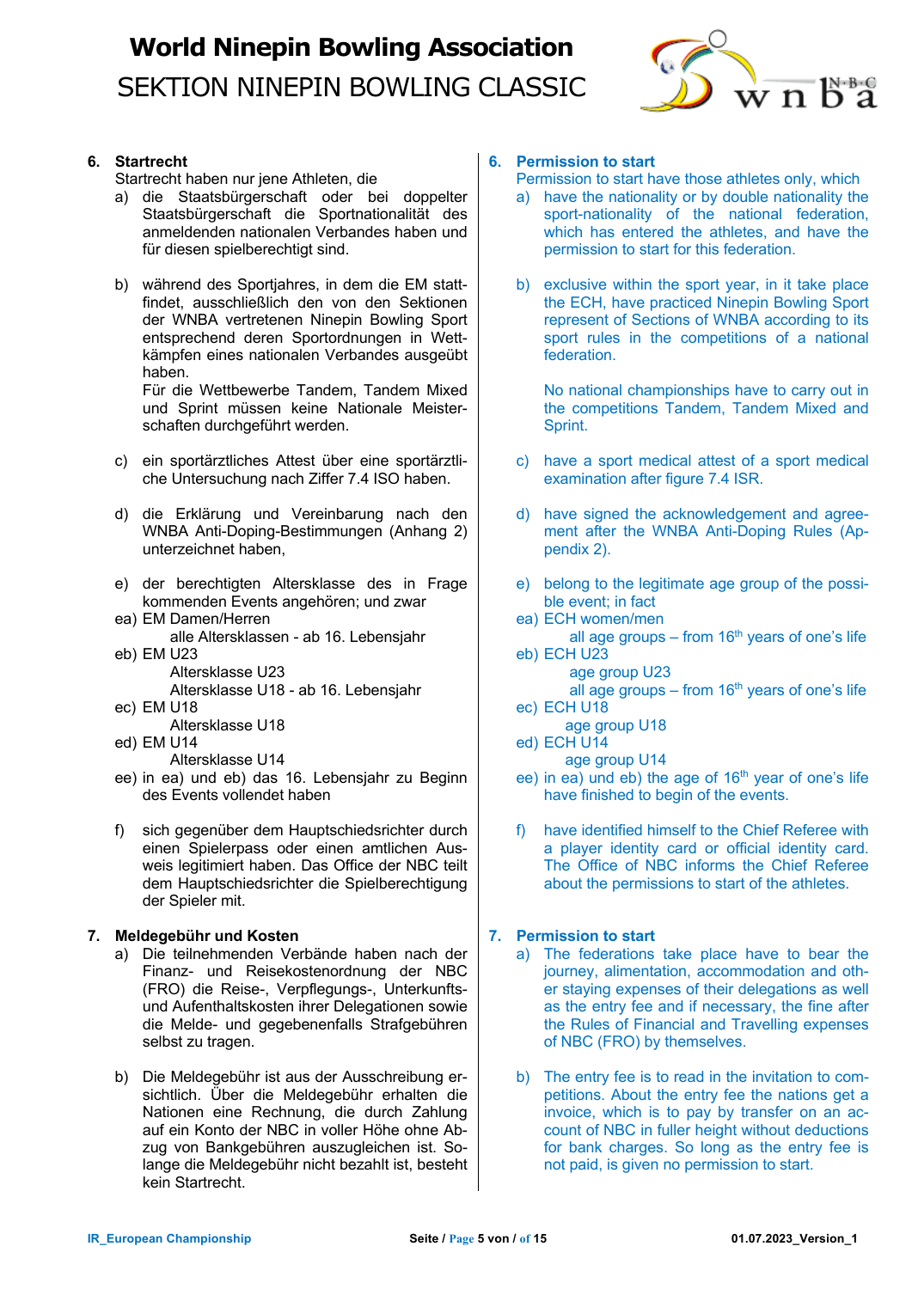

### **6. Startrecht**

Startrecht haben nur jene Athleten, die

- a) die Staatsbürgerschaft oder bei doppelter Staatsbürgerschaft die Sportnationalität des anmeldenden nationalen Verbandes haben und für diesen spielberechtigt sind.
- b) während des Sportjahres, in dem die EM stattfindet, ausschließlich den von den Sektionen der WNBA vertretenen Ninepin Bowling Sport entsprechend deren Sportordnungen in Wettkämpfen eines nationalen Verbandes ausgeübt haben.

Für die Wettbewerbe Tandem, Tandem Mixed und Sprint müssen keine Nationale Meisterschaften durchgeführt werden.

- c) ein sportärztliches Attest über eine sportärztliche Untersuchung nach Ziffer 7.4 ISO haben.
- d) die Erklärung und Vereinbarung nach den WNBA Anti-Doping-Bestimmungen (Anhang 2) unterzeichnet haben,
- e) der berechtigten Altersklasse des in Frage kommenden Events angehören; und zwar
- ea) EM Damen/Herren alle Altersklassen - ab 16. Lebensjahr
- eb) EM U23 Altersklasse U23 Altersklasse U18 - ab 16. Lebensjahr
- ec) EM U18
	- Altersklasse U18
- ed) EM U14
	- Altersklasse U14
- ee) in ea) und eb) das 16. Lebensjahr zu Beginn des Events vollendet haben
- f) sich gegenüber dem Hauptschiedsrichter durch einen Spielerpass oder einen amtlichen Ausweis legitimiert haben. Das Office der NBC teilt dem Hauptschiedsrichter die Spielberechtigung der Spieler mit.

### **7. Meldegebühr und Kosten**

- a) Die teilnehmenden Verbände haben nach der Finanz- und Reisekostenordnung der NBC (FRO) die Reise-, Verpflegungs-, Unterkunftsund Aufenthaltskosten ihrer Delegationen sowie die Melde- und gegebenenfalls Strafgebühren selbst zu tragen.
- b) Die Meldegebühr ist aus der Ausschreibung ersichtlich. Über die Meldegebühr erhalten die Nationen eine Rechnung, die durch Zahlung auf ein Konto der NBC in voller Höhe ohne Abzug von Bankgebühren auszugleichen ist. Solange die Meldegebühr nicht bezahlt ist, besteht kein Startrecht.

### **6. Permission to start**

Permission to start have those athletes only, which

- a) have the nationality or by double nationality the sport-nationality of the national federation, which has entered the athletes, and have the permission to start for this federation.
- b) exclusive within the sport year, in it take place the ECH, have practiced Ninepin Bowling Sport represent of Sections of WNBA according to its sport rules in the competitions of a national federation.

No national championships have to carry out in the competitions Tandem, Tandem Mixed and Sprint.

- c) have a sport medical attest of a sport medical examination after figure 7.4 ISR.
- d) have signed the acknowledgement and agreement after the WNBA Anti-Doping Rules (Appendix 2).
- e) belong to the legitimate age group of the possible event; in fact
- ea) ECH women/men all age groups – from  $16<sup>th</sup>$  years of one's life eb) ECH U23
- age group U23 all age groups – from  $16<sup>th</sup>$  years of one's life
- ec) ECH U18
- age group U18
- ed) ECH U14
	- age group U14
- ee) in ea) und eb) the age of 16<sup>th</sup> year of one's life have finished to begin of the events.
- f) have identified himself to the Chief Referee with a player identity card or official identity card. The Office of NBC informs the Chief Referee about the permissions to start of the athletes.

## **7. Permission to start**

- a) The federations take place have to bear the journey, alimentation, accommodation and other staying expenses of their delegations as well as the entry fee and if necessary, the fine after the Rules of Financial and Travelling expenses of NBC (FRO) by themselves.
- b) The entry fee is to read in the invitation to competitions. About the entry fee the nations get a invoice, which is to pay by transfer on an account of NBC in fuller height without deductions for bank charges. So long as the entry fee is not paid, is given no permission to start.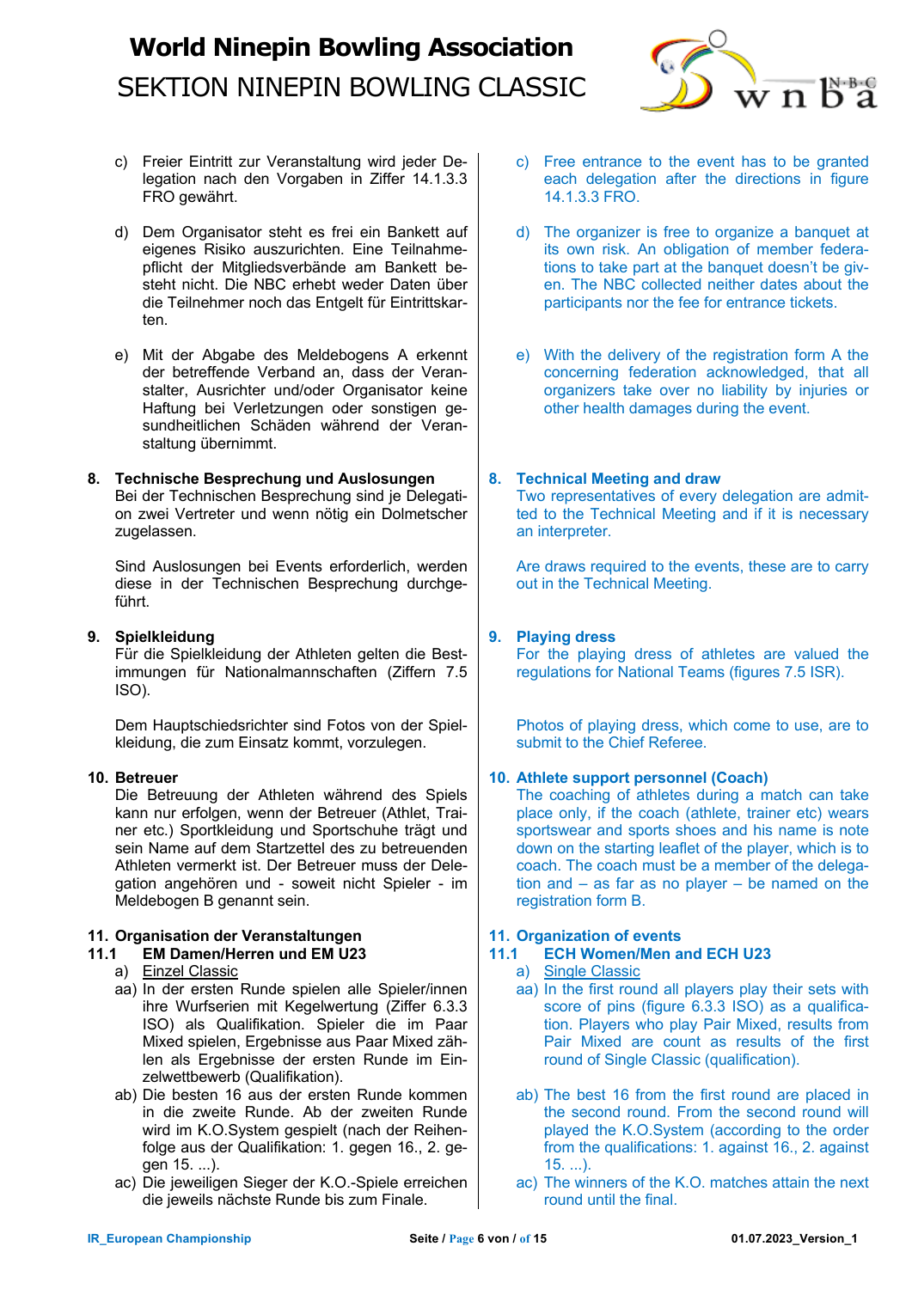

- c) Freier Eintritt zur Veranstaltung wird jeder Delegation nach den Vorgaben in Ziffer 14.1.3.3 FRO gewährt.
- d) Dem Organisator steht es frei ein Bankett auf eigenes Risiko auszurichten. Eine Teilnahmepflicht der Mitgliedsverbände am Bankett besteht nicht. Die NBC erhebt weder Daten über die Teilnehmer noch das Entgelt für Eintrittskarten.
- e) Mit der Abgabe des Meldebogens A erkennt der betreffende Verband an, dass der Veranstalter, Ausrichter und/oder Organisator keine Haftung bei Verletzungen oder sonstigen gesundheitlichen Schäden während der Veranstaltung übernimmt.

#### **8. Technische Besprechung und Auslosungen** Bei der Technischen Besprechung sind je Delegation zwei Vertreter und wenn nötig ein Dolmetscher

Sind Auslosungen bei Events erforderlich, werden diese in der Technischen Besprechung durchgeführt.

### **9. Spielkleidung**

zugelassen.

Für die Spielkleidung der Athleten gelten die Bestimmungen für Nationalmannschaften (Ziffern 7.5 ISO).

Dem Hauptschiedsrichter sind Fotos von der Spielkleidung, die zum Einsatz kommt, vorzulegen.

## **10. Betreuer**

Die Betreuung der Athleten während des Spiels kann nur erfolgen, wenn der Betreuer (Athlet, Trainer etc.) Sportkleidung und Sportschuhe trägt und sein Name auf dem Startzettel des zu betreuenden Athleten vermerkt ist. Der Betreuer muss der Delegation angehören und - soweit nicht Spieler - im Meldebogen B genannt sein.

## **11. Organisation der Veranstaltungen**

### **11.1 EM Damen/Herren und EM U23**

- a) Einzel Classic
- aa) In der ersten Runde spielen alle Spieler/innen ihre Wurfserien mit Kegelwertung (Ziffer 6.3.3 ISO) als Qualifikation. Spieler die im Paar Mixed spielen, Ergebnisse aus Paar Mixed zählen als Ergebnisse der ersten Runde im Einzelwettbewerb (Qualifikation).
- ab) Die besten 16 aus der ersten Runde kommen in die zweite Runde. Ab der zweiten Runde wird im K.O.System gespielt (nach der Reihenfolge aus der Qualifikation: 1. gegen 16., 2. gegen 15. ...).
- ac) Die jeweiligen Sieger der K.O.-Spiele erreichen die jeweils nächste Runde bis zum Finale.
- c) Free entrance to the event has to be granted each delegation after the directions in figure 14.1.3.3 FRO.
- d) The organizer is free to organize a banquet at its own risk. An obligation of member federations to take part at the banquet doesn't be given. The NBC collected neither dates about the participants nor the fee for entrance tickets.
- e) With the delivery of the registration form A the concerning federation acknowledged, that all organizers take over no liability by injuries or other health damages during the event.

## **8. Technical Meeting and draw**

Two representatives of every delegation are admitted to the Technical Meeting and if it is necessary an interpreter.

Are draws required to the events, these are to carry out in the Technical Meeting.

### **9. Playing dress**

For the playing dress of athletes are valued the regulations for National Teams (figures 7.5 ISR).

Photos of playing dress, which come to use, are to submit to the Chief Referee.

### **10. Athlete support personnel (Coach)**

The coaching of athletes during a match can take place only, if the coach (athlete, trainer etc) wears sportswear and sports shoes and his name is note down on the starting leaflet of the player, which is to coach. The coach must be a member of the delegation and – as far as no player – be named on the registration form B.

### **11. Organization of events**

## **11.1 ECH Women/Men and ECH U23**

- a) Single Classic
- aa) In the first round all players play their sets with score of pins (figure 6.3.3 ISO) as a qualification. Players who play Pair Mixed, results from Pair Mixed are count as results of the first round of Single Classic (qualification).
- ab) The best 16 from the first round are placed in the second round. From the second round will played the K.O.System (according to the order from the qualifications: 1. against 16., 2. against 15. ...).
- ac) The winners of the K.O. matches attain the next round until the final.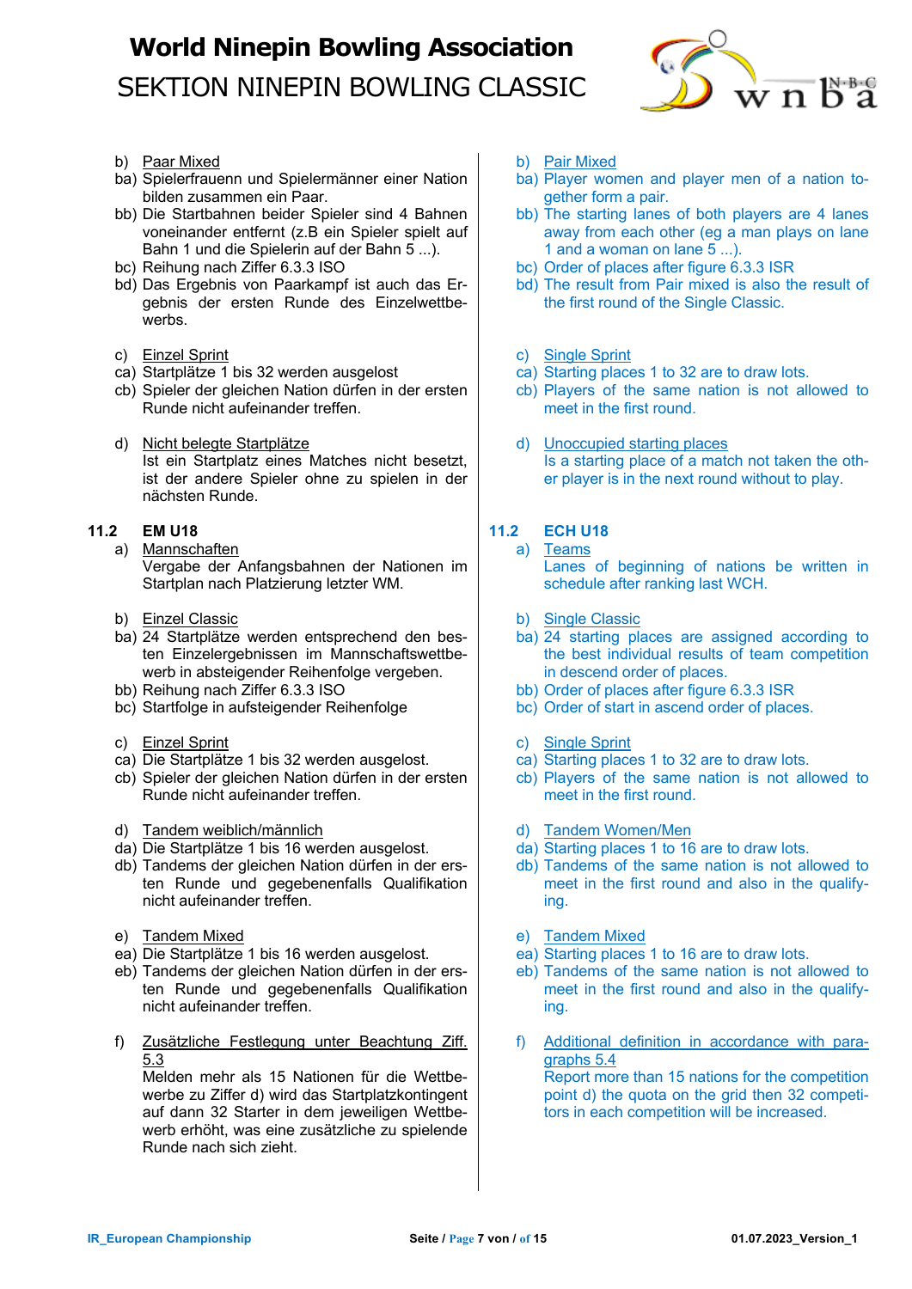

- b) Paar Mixed
- ba) Spielerfrauenn und Spielermänner einer Nation bilden zusammen ein Paar.
- bb) Die Startbahnen beider Spieler sind 4 Bahnen voneinander entfernt (z.B ein Spieler spielt auf Bahn 1 und die Spielerin auf der Bahn 5 ...).
- bc) Reihung nach Ziffer 6.3.3 ISO
- bd) Das Ergebnis von Paarkampf ist auch das Ergebnis der ersten Runde des Einzelwettbewerbs.
- c) Einzel Sprint
- ca) Startplätze 1 bis 32 werden ausgelost
- cb) Spieler der gleichen Nation dürfen in der ersten Runde nicht aufeinander treffen.
- d) Nicht belegte Startplätze Ist ein Startplatz eines Matches nicht besetzt, ist der andere Spieler ohne zu spielen in der nächsten Runde.

## **11.2 EM U18**

- a) Mannschaften Vergabe der Anfangsbahnen der Nationen im Startplan nach Platzierung letzter WM.
- b) Einzel Classic
- ba) 24 Startplätze werden entsprechend den besten Einzelergebnissen im Mannschaftswettbewerb in absteigender Reihenfolge vergeben.
- bb) Reihung nach Ziffer 6.3.3 ISO
- bc) Startfolge in aufsteigender Reihenfolge
- c) Einzel Sprint
- ca) Die Startplätze 1 bis 32 werden ausgelost.
- cb) Spieler der gleichen Nation dürfen in der ersten Runde nicht aufeinander treffen.
- d) Tandem weiblich/männlich
- da) Die Startplätze 1 bis 16 werden ausgelost.
- db) Tandems der gleichen Nation dürfen in der ersten Runde und gegebenenfalls Qualifikation nicht aufeinander treffen.
- e) Tandem Mixed
- ea) Die Startplätze 1 bis 16 werden ausgelost.
- eb) Tandems der gleichen Nation dürfen in der ersten Runde und gegebenenfalls Qualifikation nicht aufeinander treffen.
- f) Zusätzliche Festlegung unter Beachtung Ziff. 5.3

Melden mehr als 15 Nationen für die Wettbewerbe zu Ziffer d) wird das Startplatzkontingent auf dann 32 Starter in dem jeweiligen Wettbewerb erhöht, was eine zusätzliche zu spielende Runde nach sich zieht.

- b) Pair Mixed
- ba) Player women and player men of a nation together form a pair.
- bb) The starting lanes of both players are 4 lanes away from each other (eg a man plays on lane 1 and a woman on lane 5 ...).
- bc) Order of places after figure 6.3.3 ISR
- bd) The result from Pair mixed is also the result of the first round of the Single Classic.
- c) Single Sprint
- ca) Starting places 1 to 32 are to draw lots.
- cb) Players of the same nation is not allowed to meet in the first round.
- d) Unoccupied starting places Is a starting place of a match not taken the other player is in the next round without to play.

## **11.2 ECH U18**

- a) Teams Lanes of beginning of nations be written in schedule after ranking last WCH.
- b) Single Classic
- ba) 24 starting places are assigned according to the best individual results of team competition in descend order of places.
- bb) Order of places after figure 6.3.3 ISR
- bc) Order of start in ascend order of places.
- c) Single Sprint
- ca) Starting places 1 to 32 are to draw lots.
- cb) Players of the same nation is not allowed to meet in the first round.
- d) Tandem Women/Men
- da) Starting places 1 to 16 are to draw lots.
- db) Tandems of the same nation is not allowed to meet in the first round and also in the qualifying.
- e) Tandem Mixed
- ea) Starting places 1 to 16 are to draw lots.
- eb) Tandems of the same nation is not allowed to meet in the first round and also in the qualifying.
- f) Additional definition in accordance with paragraphs 5.4 Report more than 15 nations for the competition point d) the quota on the grid then 32 competitors in each competition will be increased.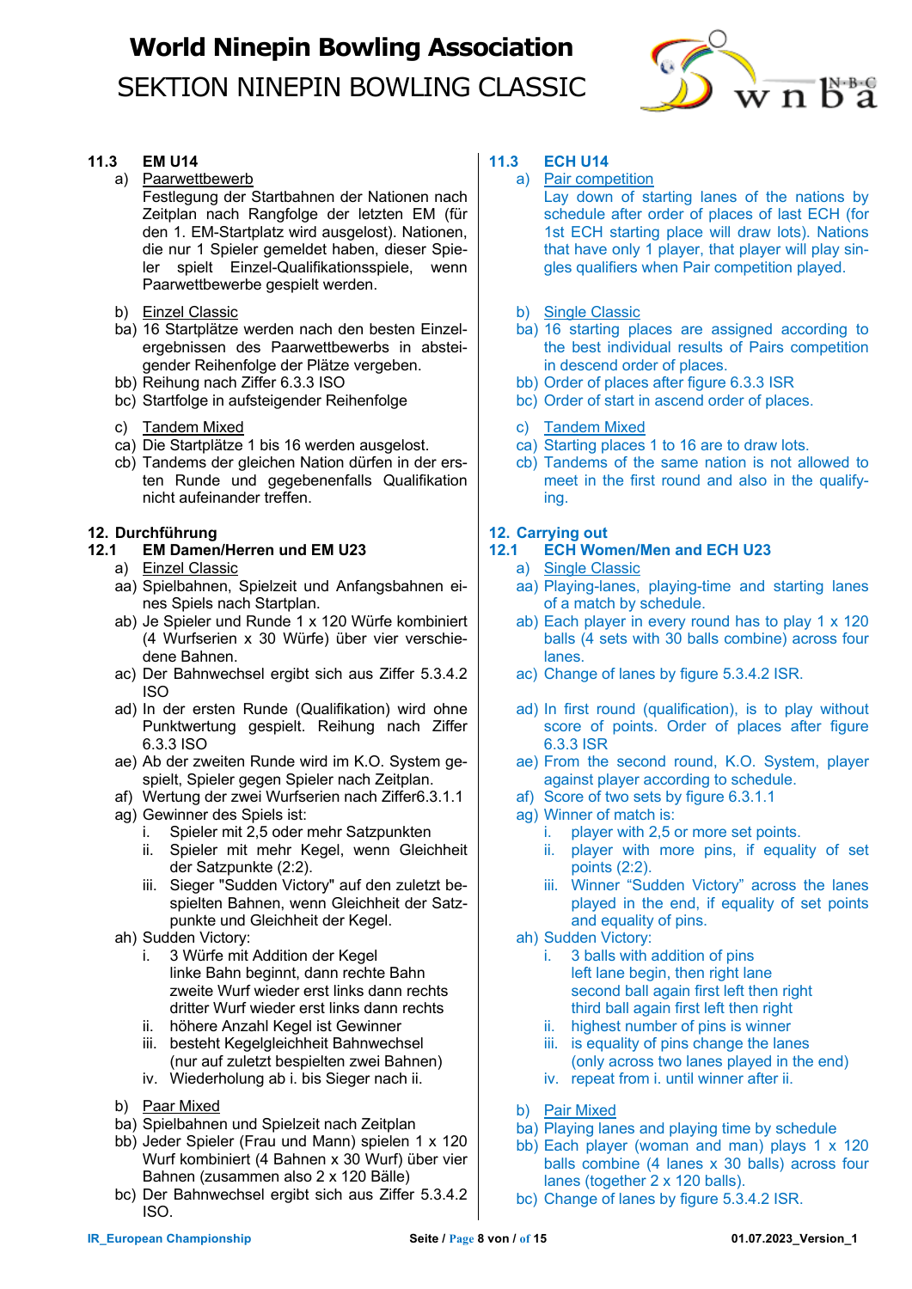

### **11.3 EM U14**

a) Paarwettbewerb

Festlegung der Startbahnen der Nationen nach Zeitplan nach Rangfolge der letzten EM (für den 1. EM-Startplatz wird ausgelost). Nationen, die nur 1 Spieler gemeldet haben, dieser Spieler spielt Einzel-Qualifikationsspiele, wenn Paarwettbewerbe gespielt werden.

- b) Einzel Classic
- ba) 16 Startplätze werden nach den besten Einzelergebnissen des Paarwettbewerbs in absteigender Reihenfolge der Plätze vergeben.
- bb) Reihung nach Ziffer 6.3.3 ISO
- bc) Startfolge in aufsteigender Reihenfolge
- c) Tandem Mixed
- ca) Die Startplätze 1 bis 16 werden ausgelost.
- cb) Tandems der gleichen Nation dürfen in der ersten Runde und gegebenenfalls Qualifikation nicht aufeinander treffen.

### **12. Durchführung**

#### **12.1 EM Damen/Herren und EM U23**

- a) Einzel Classic
- aa) Spielbahnen, Spielzeit und Anfangsbahnen eines Spiels nach Startplan.
- ab) Je Spieler und Runde 1 x 120 Würfe kombiniert (4 Wurfserien x 30 Würfe) über vier verschiedene Bahnen.
- ac) Der Bahnwechsel ergibt sich aus Ziffer 5.3.4.2 ISO
- ad) In der ersten Runde (Qualifikation) wird ohne Punktwertung gespielt. Reihung nach Ziffer 6.3.3 ISO
- ae) Ab der zweiten Runde wird im K.O. System gespielt, Spieler gegen Spieler nach Zeitplan.
- af) Wertung der zwei Wurfserien nach Ziffer6.3.1.1 ag) Gewinner des Spiels ist:
	- i. Spieler mit 2,5 oder mehr Satzpunkten
	- ii. Spieler mit mehr Kegel, wenn Gleichheit der Satzpunkte (2:2).
	- iii. Sieger "Sudden Victory" auf den zuletzt bespielten Bahnen, wenn Gleichheit der Satzpunkte und Gleichheit der Kegel.
- ah) Sudden Victory:
	- i. 3 Würfe mit Addition der Kegel linke Bahn beginnt, dann rechte Bahn zweite Wurf wieder erst links dann rechts dritter Wurf wieder erst links dann rechts
	- ii. höhere Anzahl Kegel ist Gewinner
	- iii. besteht Kegelgleichheit Bahnwechsel (nur auf zuletzt bespielten zwei Bahnen)
	- iv. Wiederholung ab i. bis Sieger nach ii.
- b) Paar Mixed
- ba) Spielbahnen und Spielzeit nach Zeitplan
- bb) Jeder Spieler (Frau und Mann) spielen 1 x 120 Wurf kombiniert (4 Bahnen x 30 Wurf) über vier Bahnen (zusammen also 2 x 120 Bälle)
- bc) Der Bahnwechsel ergibt sich aus Ziffer 5.3.4.2 ISO.

### **11.3 ECH U14**

- a) Pair competition
	- Lay down of starting lanes of the nations by schedule after order of places of last ECH (for 1st ECH starting place will draw lots). Nations that have only  $1$  player, that player will play singles qualifiers when Pair competition played.
- b) Single Classic
- ba) 16 starting places are assigned according to the best individual results of Pairs competition in descend order of places.
- bb) Order of places after figure 6.3.3 ISR
- bc) Order of start in ascend order of places.
- c) Tandem Mixed
- ca) Starting places 1 to 16 are to draw lots.
- cb) Tandems of the same nation is not allowed to meet in the first round and also in the qualifying.

### **12. Carrying out**

## **12.1 ECH Women/Men and ECH U23**

- a) Single Classic
- aa) Playing-lanes, playing-time and starting lanes of a match by schedule.
- ab) Each player in every round has to play 1 x 120 balls (4 sets with 30 balls combine) across four lanes.
- ac) Change of lanes by figure 5.3.4.2 ISR.
- ad) In first round (qualification), is to play without score of points. Order of places after figure 6.3.3 ISR
- ae) From the second round, K.O. System, player against player according to schedule.
- af) Score of two sets by figure 6.3.1.1
- ag) Winner of match is:
	- i. player with 2,5 or more set points.
	- ii. player with more pins, if equality of set points (2:2).
	- iii. Winner "Sudden Victory" across the lanes played in the end, if equality of set points and equality of pins.
- ah) Sudden Victory:
	- i. 3 balls with addition of pins left lane begin, then right lane second ball again first left then right third ball again first left then right
	- ii. highest number of pins is winner
	- iii. is equality of pins change the lanes (only across two lanes played in the end)
	- iv. repeat from i. until winner after ii.
- b) Pair Mixed
- ba) Playing lanes and playing time by schedule
- bb) Each player (woman and man) plays 1 x 120 balls combine (4 lanes x 30 balls) across four lanes (together 2 x 120 balls).
- bc) Change of lanes by figure 5.3.4.2 ISR.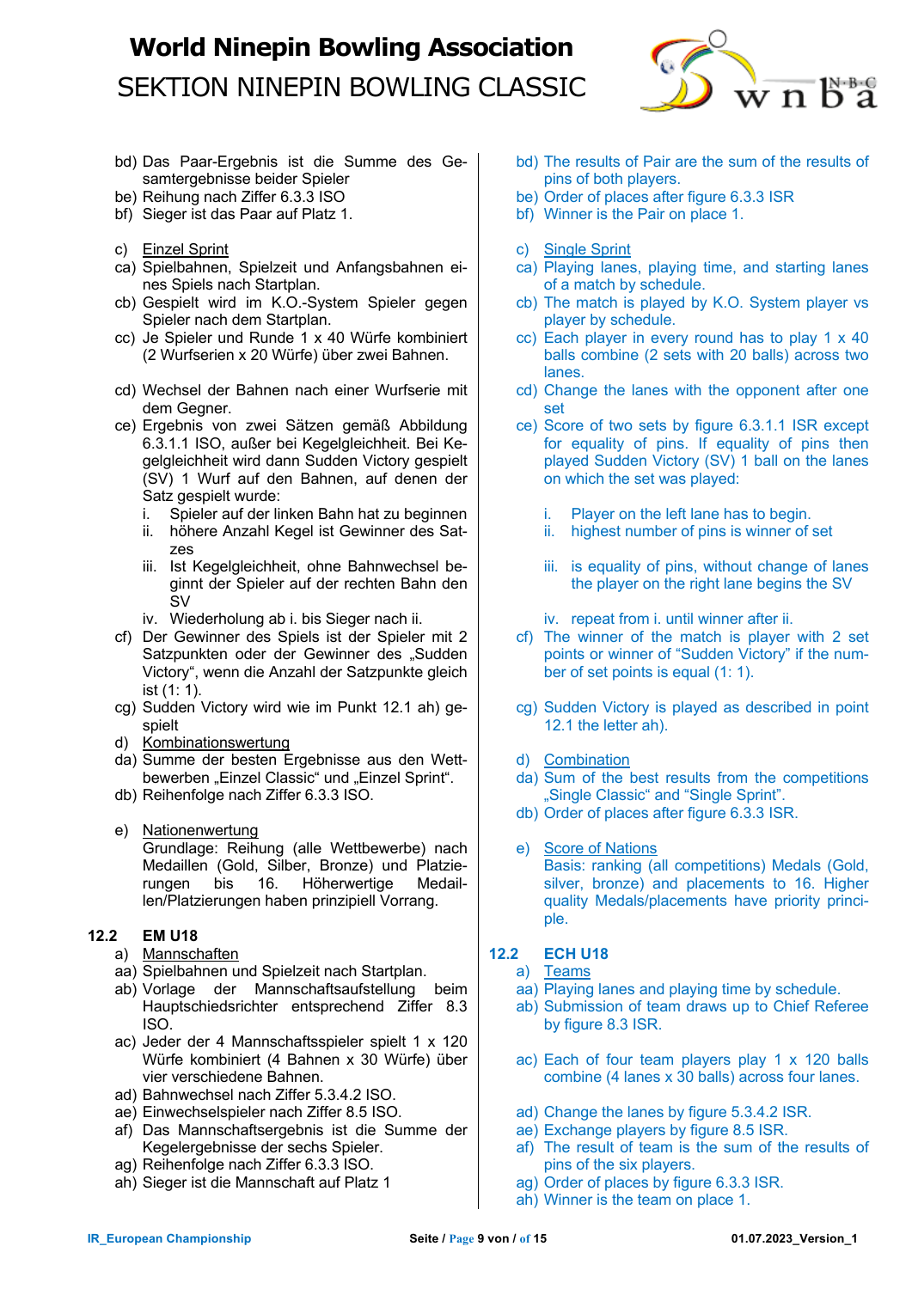

- bd) Das Paar-Ergebnis ist die Summe des Gesamtergebnisse beider Spieler
- be) Reihung nach Ziffer 6.3.3 ISO
- bf) Sieger ist das Paar auf Platz 1.
- c) Einzel Sprint
- ca) Spielbahnen, Spielzeit und Anfangsbahnen eines Spiels nach Startplan.
- cb) Gespielt wird im K.O.-System Spieler gegen Spieler nach dem Startplan.
- cc) Je Spieler und Runde 1 x 40 Würfe kombiniert (2 Wurfserien x 20 Würfe) über zwei Bahnen.
- cd) Wechsel der Bahnen nach einer Wurfserie mit dem Gegner.
- ce) Ergebnis von zwei Sätzen gemäß Abbildung 6.3.1.1 ISO, außer bei Kegelgleichheit. Bei Kegelgleichheit wird dann Sudden Victory gespielt (SV) 1 Wurf auf den Bahnen, auf denen der Satz gespielt wurde:
	- i. Spieler auf der linken Bahn hat zu beginnen
	- ii. höhere Anzahl Kegel ist Gewinner des Satzes
	- iii. Ist Kegelgleichheit, ohne Bahnwechsel beginnt der Spieler auf der rechten Bahn den SV
	- iv. Wiederholung ab i. bis Sieger nach ii.
- cf) Der Gewinner des Spiels ist der Spieler mit 2 Satzpunkten oder der Gewinner des "Sudden Victory", wenn die Anzahl der Satzpunkte gleich ist (1: 1).
- cg) Sudden Victory wird wie im Punkt 12.1 ah) gespielt
- d) Kombinationswertung
- da) Summe der besten Ergebnisse aus den Wettbewerben "Einzel Classic" und "Einzel Sprint".
- db) Reihenfolge nach Ziffer 6.3.3 ISO.
- e) Nationenwertung Grundlage: Reihung (alle Wettbewerbe) nach Medaillen (Gold, Silber, Bronze) und Platzierungen bis 16. Höherwertige Medaillen/Platzierungen haben prinzipiell Vorrang.

## **12.2 EM U18**

- a) Mannschaften
- aa) Spielbahnen und Spielzeit nach Startplan.
- ab) Vorlage der Mannschaftsaufstellung beim Hauptschiedsrichter entsprechend Ziffer 8.3 ISO.
- ac) Jeder der 4 Mannschaftsspieler spielt 1 x 120 Würfe kombiniert (4 Bahnen x 30 Würfe) über vier verschiedene Bahnen.
- ad) Bahnwechsel nach Ziffer 5.3.4.2 ISO.
- ae) Einwechselspieler nach Ziffer 8.5 ISO.
- af) Das Mannschaftsergebnis ist die Summe der Kegelergebnisse der sechs Spieler.
- ag) Reihenfolge nach Ziffer 6.3.3 ISO.
- ah) Sieger ist die Mannschaft auf Platz 1
- bd) The results of Pair are the sum of the results of pins of both players.
- be) Order of places after figure 6.3.3 ISR
- bf) Winner is the Pair on place 1.
- c) Single Sprint
- ca) Playing lanes, playing time, and starting lanes of a match by schedule.
- cb) The match is played by K.O. System player vs player by schedule.
- cc) Each player in every round has to play 1 x 40 balls combine (2 sets with 20 balls) across two lanes.
- cd) Change the lanes with the opponent after one set
- ce) Score of two sets by figure 6.3.1.1 ISR except for equality of pins. If equality of pins then played Sudden Victory (SV) 1 ball on the lanes on which the set was played:
	- i. Player on the left lane has to begin.
	- ii. highest number of pins is winner of set
	- iii. is equality of pins, without change of lanes the player on the right lane begins the SV
	- iv. repeat from i. until winner after ii.
- cf) The winner of the match is player with 2 set points or winner of "Sudden Victory" if the number of set points is equal (1: 1).
- cg) Sudden Victory is played as described in point 12.1 the letter ah).
- d) Combination
- da) Sum of the best results from the competitions "Single Classic" and "Single Sprint".
- db) Order of places after figure 6.3.3 ISR.
- e) Score of Nations Basis: ranking (all competitions) Medals (Gold, silver, bronze) and placements to 16. Higher quality Medals/placements have priority principle.

### **12.2 ECH U18**

- a) Teams
- aa) Playing lanes and playing time by schedule.
- ab) Submission of team draws up to Chief Referee by figure 8.3 ISR.
- ac) Each of four team players play 1 x 120 balls combine (4 lanes x 30 balls) across four lanes.
- ad) Change the lanes by figure 5.3.4.2 ISR.
- ae) Exchange players by figure 8.5 ISR.
- af) The result of team is the sum of the results of pins of the six players.
- ag) Order of places by figure 6.3.3 ISR.
- ah) Winner is the team on place 1.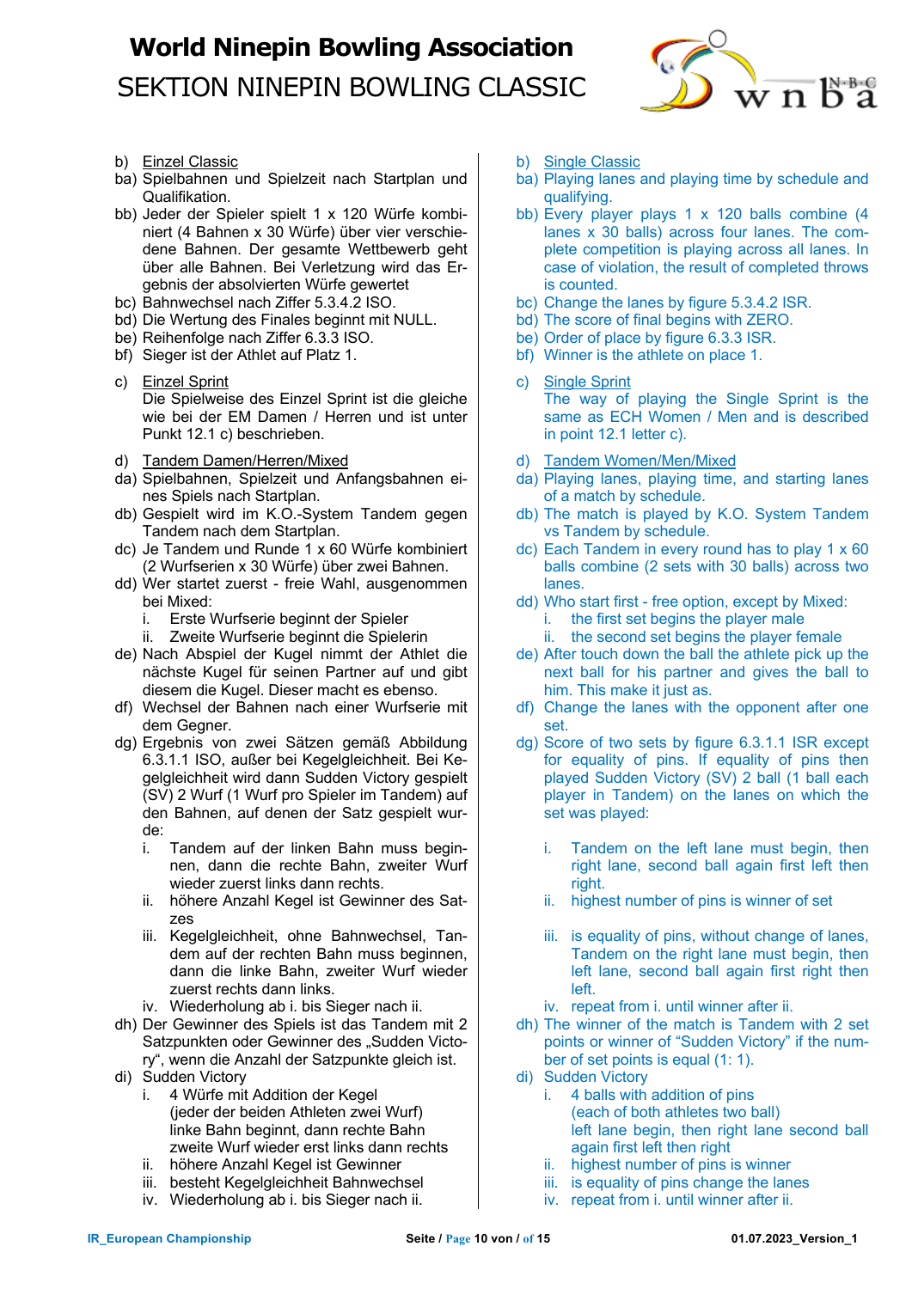

- b) Einzel Classic
- ba) Spielbahnen und Spielzeit nach Startplan und Qualifikation.
- bb) Jeder der Spieler spielt 1 x 120 Würfe kombiniert (4 Bahnen x 30 Würfe) über vier verschiedene Bahnen. Der gesamte Wettbewerb geht über alle Bahnen. Bei Verletzung wird das Ergebnis der absolvierten Würfe gewertet
- bc) Bahnwechsel nach Ziffer 5.3.4.2 ISO.
- bd) Die Wertung des Finales beginnt mit NULL.
- be) Reihenfolge nach Ziffer 6.3.3 ISO.
- bf) Sieger ist der Athlet auf Platz 1.
- c) Einzel Sprint Die Spielweise des Einzel Sprint ist die gleiche wie bei der EM Damen / Herren und ist unter Punkt 12.1 c) beschrieben.
- d) Tandem Damen/Herren/Mixed
- da) Spielbahnen, Spielzeit und Anfangsbahnen eines Spiels nach Startplan.
- db) Gespielt wird im K.O.-System Tandem gegen Tandem nach dem Startplan.
- dc) Je Tandem und Runde 1 x 60 Würfe kombiniert (2 Wurfserien x 30 Würfe) über zwei Bahnen.
- dd) Wer startet zuerst freie Wahl, ausgenommen bei Mixed:
	- i. Erste Wurfserie beginnt der Spieler
	- ii. Zweite Wurfserie beginnt die Spielerin
- de) Nach Abspiel der Kugel nimmt der Athlet die nächste Kugel für seinen Partner auf und gibt diesem die Kugel. Dieser macht es ebenso.
- df) Wechsel der Bahnen nach einer Wurfserie mit dem Gegner.
- dg) Ergebnis von zwei Sätzen gemäß Abbildung 6.3.1.1 ISO, außer bei Kegelgleichheit. Bei Kegelgleichheit wird dann Sudden Victory gespielt (SV) 2 Wurf (1 Wurf pro Spieler im Tandem) auf den Bahnen, auf denen der Satz gespielt wurde:
	- i. Tandem auf der linken Bahn muss beginnen, dann die rechte Bahn, zweiter Wurf wieder zuerst links dann rechts.
	- ii. höhere Anzahl Kegel ist Gewinner des Satzes
	- iii. Kegelgleichheit, ohne Bahnwechsel, Tandem auf der rechten Bahn muss beginnen, dann die linke Bahn, zweiter Wurf wieder zuerst rechts dann links.
	- iv. Wiederholung ab i. bis Sieger nach ii.
- dh) Der Gewinner des Spiels ist das Tandem mit 2 Satzpunkten oder Gewinner des "Sudden Victory", wenn die Anzahl der Satzpunkte gleich ist.
- di) Sudden Victory
	- i. 4 Würfe mit Addition der Kegel (jeder der beiden Athleten zwei Wurf) linke Bahn beginnt, dann rechte Bahn zweite Wurf wieder erst links dann rechts
	- ii. höhere Anzahl Kegel ist Gewinner
	- iii. besteht Kegelgleichheit Bahnwechsel
	- iv. Wiederholung ab i. bis Sieger nach ii.
- b) Single Classic
- ba) Playing lanes and playing time by schedule and qualifying.
- bb) Every player plays 1 x 120 balls combine (4 lanes x 30 balls) across four lanes. The complete competition is playing across all lanes. In case of violation, the result of completed throws is counted.
- bc) Change the lanes by figure 5.3.4.2 ISR.
- bd) The score of final begins with ZERO.
- be) Order of place by figure 6.3.3 ISR.
- bf) Winner is the athlete on place 1.
- c) Single Sprint The way of playing the Single Sprint is the same as ECH Women / Men and is described in point 12.1 letter c).
- d) Tandem Women/Men/Mixed
- da) Playing lanes, playing time, and starting lanes of a match by schedule.
- db) The match is played by K.O. System Tandem vs Tandem by schedule.
- dc) Each Tandem in every round has to play 1 x 60 balls combine (2 sets with 30 balls) across two lanes.
- dd) Who start first free option, except by Mixed:
	- i. the first set begins the player male
	- ii. the second set begins the player female
- de) After touch down the ball the athlete pick up the next ball for his partner and gives the ball to him. This make it just as.
- df) Change the lanes with the opponent after one set.
- dg) Score of two sets by figure 6.3.1.1 ISR except for equality of pins. If equality of pins then played Sudden Victory (SV) 2 ball (1 ball each player in Tandem) on the lanes on which the set was played:
	- i. Tandem on the left lane must begin, then right lane, second ball again first left then right.
	- ii. highest number of pins is winner of set
	- iii. is equality of pins, without change of lanes. Tandem on the right lane must begin, then left lane, second ball again first right then left.
	- iv. repeat from i. until winner after ii.
- dh) The winner of the match is Tandem with 2 set points or winner of "Sudden Victory" if the number of set points is equal (1: 1).
- di) Sudden Victory
	- i. 4 balls with addition of pins (each of both athletes two ball) left lane begin, then right lane second ball again first left then right
	- ii. highest number of pins is winner
	- iii. is equality of pins change the lanes
	- iv. repeat from i. until winner after ii.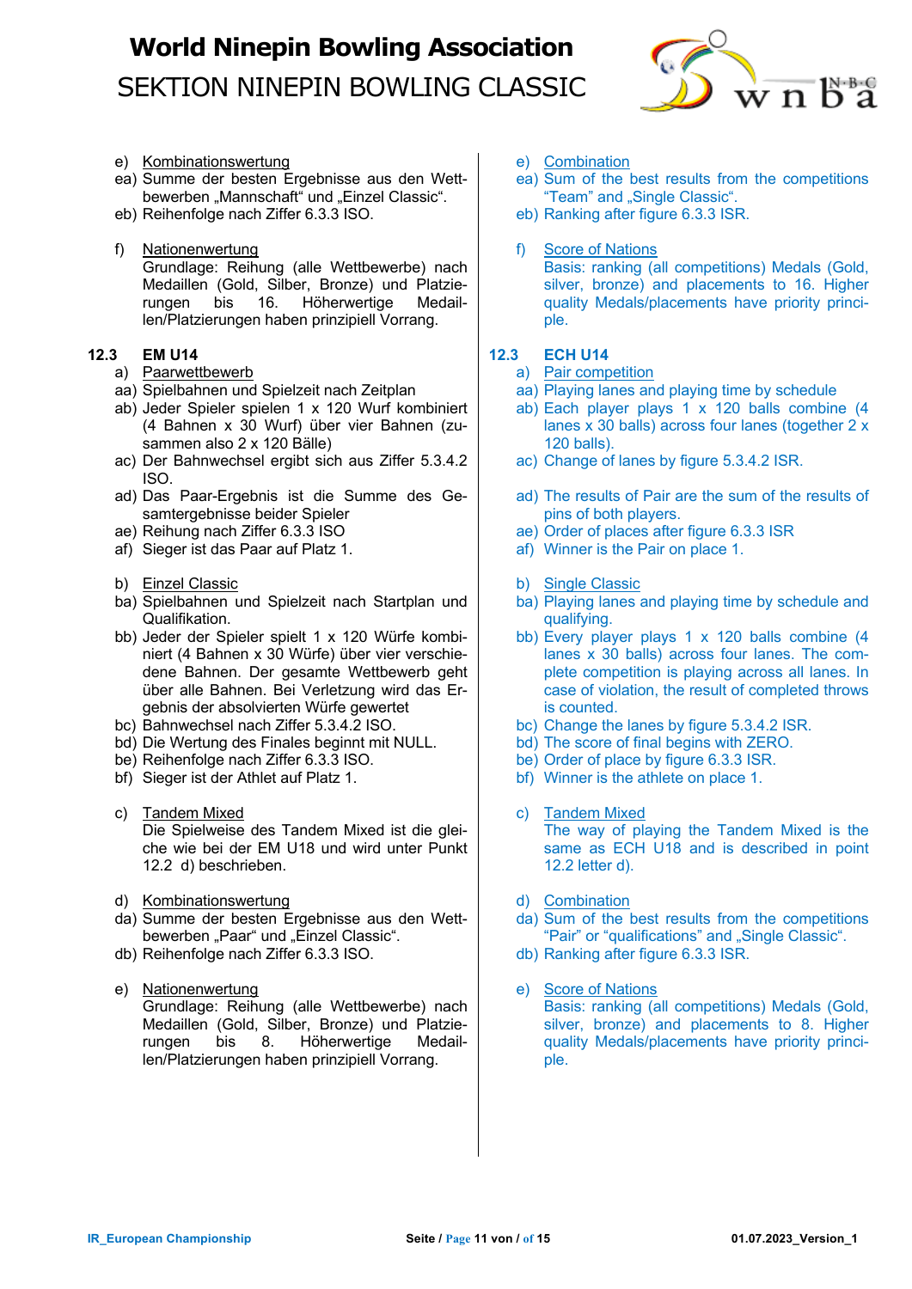

- e) Kombinationswertung
- ea) Summe der besten Ergebnisse aus den Wettbewerben "Mannschaft" und "Einzel Classic".
- eb) Reihenfolge nach Ziffer 6.3.3 ISO.
- f) Nationenwertung Grundlage: Reihung (alle Wettbewerbe) nach Medaillen (Gold, Silber, Bronze) und Platzie-<br>rungen bis 16. Höherwertige Medailbis 16. Höherwertige Medaillen/Platzierungen haben prinzipiell Vorrang.

### **12.3 EM U14**

- a) Paarwettbewerb
- aa) Spielbahnen und Spielzeit nach Zeitplan
- ab) Jeder Spieler spielen 1 x 120 Wurf kombiniert (4 Bahnen x 30 Wurf) über vier Bahnen (zusammen also 2 x 120 Bälle)
- ac) Der Bahnwechsel ergibt sich aus Ziffer 5.3.4.2 ISO.
- ad) Das Paar-Ergebnis ist die Summe des Gesamtergebnisse beider Spieler
- ae) Reihung nach Ziffer 6.3.3 ISO
- af) Sieger ist das Paar auf Platz 1.
- b) Einzel Classic
- ba) Spielbahnen und Spielzeit nach Startplan und Qualifikation.
- bb) Jeder der Spieler spielt 1 x 120 Würfe kombiniert (4 Bahnen x 30 Würfe) über vier verschiedene Bahnen. Der gesamte Wettbewerb geht über alle Bahnen. Bei Verletzung wird das Ergebnis der absolvierten Würfe gewertet
- bc) Bahnwechsel nach Ziffer 5.3.4.2 ISO.
- bd) Die Wertung des Finales beginnt mit NULL.
- be) Reihenfolge nach Ziffer 6.3.3 ISO.
- bf) Sieger ist der Athlet auf Platz 1.
- c) Tandem Mixed Die Spielweise des Tandem Mixed ist die gleiche wie bei der EM U18 und wird unter Punkt 12.2 d) beschrieben.
- d) Kombinationswertung
- da) Summe der besten Ergebnisse aus den Wettbewerben "Paar" und "Einzel Classic".
- db) Reihenfolge nach Ziffer 6.3.3 ISO.
- e) Nationenwertung Grundlage: Reihung (alle Wettbewerbe) nach Medaillen (Gold, Silber, Bronze) und Platzierungen bis 8. Höherwertige Medaillen/Platzierungen haben prinzipiell Vorrang.
- e) Combination
- ea) Sum of the best results from the competitions "Team" and "Single Classic".
- eb) Ranking after figure 6.3.3 ISR.
- f) Score of Nations

Basis: ranking (all competitions) Medals (Gold, silver, bronze) and placements to 16. Higher quality Medals/placements have priority principle.

### **12.3 ECH U14**

#### a) Pair competition

- aa) Playing lanes and playing time by schedule
- ab) Each player plays 1 x 120 balls combine (4 lanes x 30 balls) across four lanes (together 2 x 120 balls).
- ac) Change of lanes by figure 5.3.4.2 ISR.
- ad) The results of Pair are the sum of the results of pins of both players.
- ae) Order of places after figure 6.3.3 ISR
- af) Winner is the Pair on place 1.
- b) Single Classic
- ba) Playing lanes and playing time by schedule and qualifying.
- bb) Every player plays 1 x 120 balls combine (4 lanes x 30 balls) across four lanes. The complete competition is playing across all lanes. In case of violation, the result of completed throws is counted.
- bc) Change the lanes by figure 5.3.4.2 ISR.
- bd) The score of final begins with ZERO.
- be) Order of place by figure 6.3.3 ISR.
- bf) Winner is the athlete on place 1.
- c) Tandem Mixed The way of playing the Tandem Mixed is the same as ECH U18 and is described in point 12.2 letter d).
- d) Combination
- da) Sum of the best results from the competitions "Pair" or "qualifications" and "Single Classic".
- db) Ranking after figure 6.3.3 ISR.
- e) Score of Nations Basis: ranking (all competitions) Medals (Gold, silver, bronze) and placements to 8. Higher quality Medals/placements have priority principle.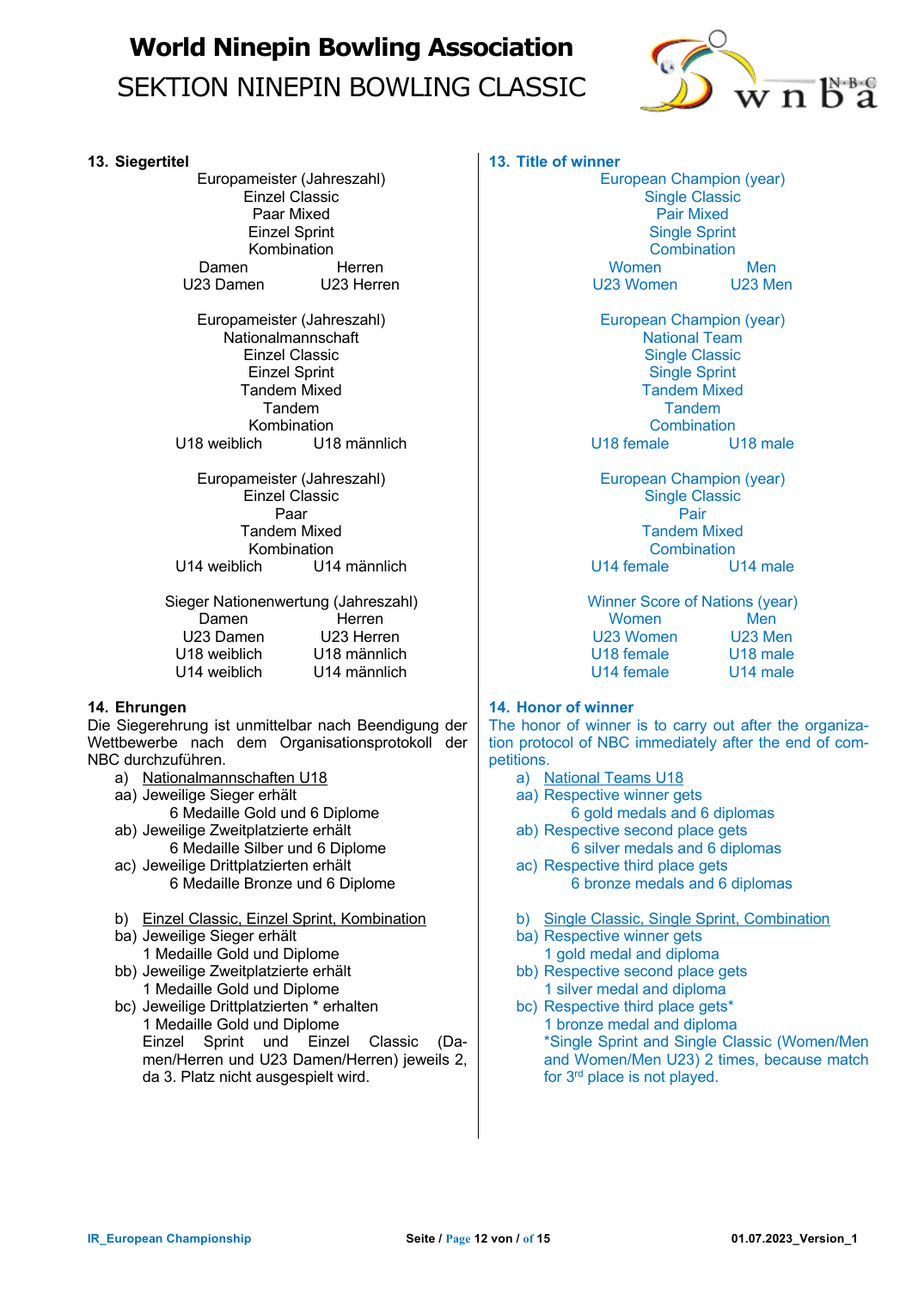

#### **13. Siegertitel**

Europameister (Jahreszahl) Einzel Classic Paar Mixed Einzel Sprint Kombination Damen Herren U23 Damen U23 Herren

Europameister (Jahreszahl) Nationalmannschaft Einzel Classic Einzel Sprint Tandem Mixed Tandem Kombination<br>U18 weiblich U18 U18 männlich

Europameister (Jahreszahl) Einzel Classic Paar Tandem Mixed Kombination<br>14 U14 weiblich U14 U14 männlich

Sieger Nationenwertung (Jahreszahl) Damen Herren U23 Damen U23 Herren U18 weiblich U18 männlich U14 weiblich U14 männlich

### **14. Ehrungen**

Die Siegerehrung ist unmittelbar nach Beendigung der Wettbewerbe nach dem Organisationsprotokoll der NBC durchzuführen.

- a) Nationalmannschaften U18
- aa) Jeweilige Sieger erhält
	- 6 Medaille Gold und 6 Diplome
- ab) Jeweilige Zweitplatzierte erhält 6 Medaille Silber und 6 Diplome
- ac) Jeweilige Drittplatzierten erhält 6 Medaille Bronze und 6 Diplome
- b) Einzel Classic, Einzel Sprint, Kombination
- ba) Jeweilige Sieger erhält 1 Medaille Gold und Diplome
- bb) Jeweilige Zweitplatzierte erhält 1 Medaille Gold und Diplome
- bc) Jeweilige Drittplatzierten \* erhalten 1 Medaille Gold und Diplome Einzel Sprint und Einzel Classic (Damen/Herren und U23 Damen/Herren) jeweils 2, da 3. Platz nicht ausgespielt wird.

### **13. Title of winner**

European Champion (year) Single Classic Pair Mixed Single Sprint **Combination** Women Men U23 Women U23 Men

European Champion (year) National Team Single Classic Single Sprint Tandem Mixed **Tandem** Combination<br>ale U18 male U18 female

European Champion (year) Single Classic Pair Tandem Mixed **Combination** U14 female U14 male

Winner Score of Nations (year) Women Men U23 Women U23 Men U18 female U18 male U14 female U14 male

### **14. Honor of winner**

The honor of winner is to carry out after the organization protocol of NBC immediately after the end of competitions.

- a) National Teams U18
- aa) Respective winner gets
- 6 gold medals and 6 diplomas ab) Respective second place gets
- 6 silver medals and 6 diplomas ac) Respective third place gets
	- 6 bronze medals and 6 diplomas
- b) Single Classic, Single Sprint, Combination
- ba) Respective winner gets 1 gold medal and diploma
- bb) Respective second place gets 1 silver medal and diploma
- bc) Respective third place gets\* 1 bronze medal and diploma \*Single Sprint and Single Classic (Women/Men and Women/Men U23) 2 times, because match for 3rd place is not played.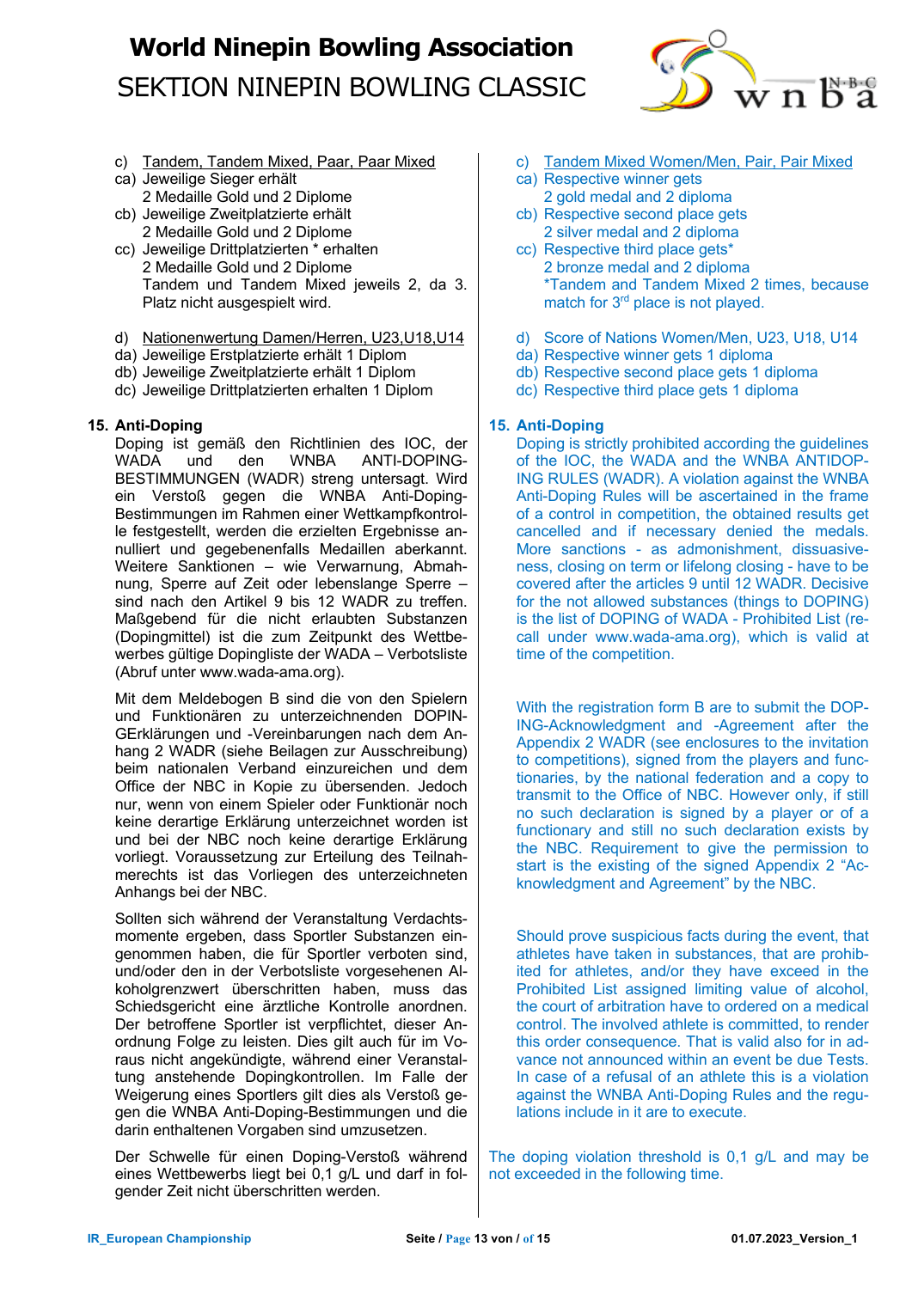

- c) Tandem, Tandem Mixed, Paar, Paar Mixed
- ca) Jeweilige Sieger erhält 2 Medaille Gold und 2 Diplome
- cb) Jeweilige Zweitplatzierte erhält 2 Medaille Gold und 2 Diplome
- cc) Jeweilige Drittplatzierten \* erhalten 2 Medaille Gold und 2 Diplome Tandem und Tandem Mixed jeweils 2, da 3. Platz nicht ausgespielt wird.
- d) Nationenwertung Damen/Herren, U23,U18,U14
- da) Jeweilige Erstplatzierte erhält 1 Diplom
- db) Jeweilige Zweitplatzierte erhält 1 Diplom
- dc) Jeweilige Drittplatzierten erhalten 1 Diplom

### **15. Anti-Doping**

Doping ist gemäß den Richtlinien des IOC, der WADA und den WNBA ANTI-DOPING-BESTIMMUNGEN (WADR) streng untersagt. Wird ein Verstoß gegen die WNBA Anti-Doping-Bestimmungen im Rahmen einer Wettkampfkontrolle festgestellt, werden die erzielten Ergebnisse annulliert und gegebenenfalls Medaillen aberkannt. Weitere Sanktionen – wie Verwarnung, Abmahnung, Sperre auf Zeit oder lebenslange Sperre – sind nach den Artikel 9 bis 12 WADR zu treffen. Maßgebend für die nicht erlaubten Substanzen (Dopingmittel) ist die zum Zeitpunkt des Wettbewerbes gültige Dopingliste der WADA – Verbotsliste (Abruf unter www.wada-ama.org).

Mit dem Meldebogen B sind die von den Spielern und Funktionären zu unterzeichnenden DOPIN-GErklärungen und -Vereinbarungen nach dem Anhang 2 WADR (siehe Beilagen zur Ausschreibung) beim nationalen Verband einzureichen und dem Office der NBC in Kopie zu übersenden. Jedoch nur, wenn von einem Spieler oder Funktionär noch keine derartige Erklärung unterzeichnet worden ist und bei der NBC noch keine derartige Erklärung vorliegt. Voraussetzung zur Erteilung des Teilnahmerechts ist das Vorliegen des unterzeichneten Anhangs bei der NBC.

Sollten sich während der Veranstaltung Verdachtsmomente ergeben, dass Sportler Substanzen eingenommen haben, die für Sportler verboten sind, und/oder den in der Verbotsliste vorgesehenen Alkoholgrenzwert überschritten haben, muss das Schiedsgericht eine ärztliche Kontrolle anordnen. Der betroffene Sportler ist verpflichtet, dieser Anordnung Folge zu leisten. Dies gilt auch für im Voraus nicht angekündigte, während einer Veranstaltung anstehende Dopingkontrollen. Im Falle der Weigerung eines Sportlers gilt dies als Verstoß gegen die WNBA Anti-Doping-Bestimmungen und die darin enthaltenen Vorgaben sind umzusetzen.

Der Schwelle für einen Doping-Verstoß während eines Wettbewerbs liegt bei 0,1 g/L und darf in folgender Zeit nicht überschritten werden.

- c) Tandem Mixed Women/Men, Pair, Pair Mixed
- ca) Respective winner gets 2 gold medal and 2 diploma
- cb) Respective second place gets 2 silver medal and 2 diploma
- cc) Respective third place gets\* 2 bronze medal and 2 diploma \*Tandem and Tandem Mixed 2 times, because match for 3<sup>rd</sup> place is not played.
- d) Score of Nations Women/Men, U23, U18, U14
- da) Respective winner gets 1 diploma
- db) Respective second place gets 1 diploma
- dc) Respective third place gets 1 diploma

### **15. Anti-Doping**

Doping is strictly prohibited according the guidelines of the IOC, the WADA and the WNBA ANTIDOP-ING RULES (WADR). A violation against the WNBA Anti-Doping Rules will be ascertained in the frame of a control in competition, the obtained results get cancelled and if necessary denied the medals. More sanctions - as admonishment, dissuasiveness, closing on term or lifelong closing - have to be covered after the articles 9 until 12 WADR. Decisive for the not allowed substances (things to DOPING) is the list of DOPING of WADA - Prohibited List (recall under www.wada-ama.org), which is valid at time of the competition.

With the registration form B are to submit the DOP-ING-Acknowledgment and -Agreement after the Appendix 2 WADR (see enclosures to the invitation to competitions), signed from the players and functionaries, by the national federation and a copy to transmit to the Office of NBC. However only, if still no such declaration is signed by a player or of a functionary and still no such declaration exists by the NBC. Requirement to give the permission to start is the existing of the signed Appendix 2 "Acknowledgment and Agreement" by the NBC.

Should prove suspicious facts during the event, that athletes have taken in substances, that are prohibited for athletes, and/or they have exceed in the Prohibited List assigned limiting value of alcohol, the court of arbitration have to ordered on a medical control. The involved athlete is committed, to render this order consequence. That is valid also for in advance not announced within an event be due Tests. In case of a refusal of an athlete this is a violation against the WNBA Anti-Doping Rules and the regulations include in it are to execute.

The doping violation threshold is 0,1 g/L and may be not exceeded in the following time.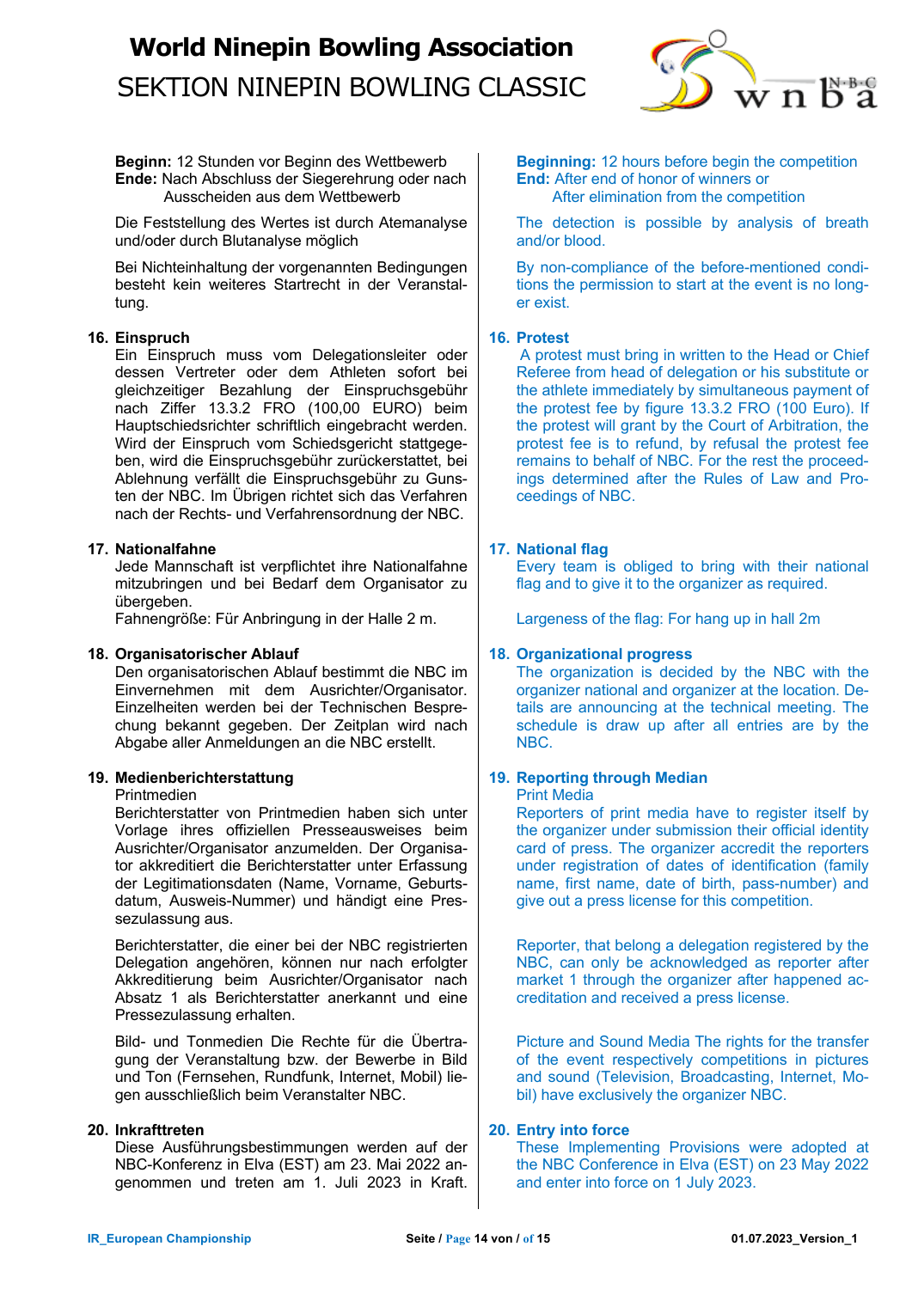

**Beginn:** 12 Stunden vor Beginn des Wettbewerb **Ende:** Nach Abschluss der Siegerehrung oder nach Ausscheiden aus dem Wettbewerb

Die Feststellung des Wertes ist durch Atemanalyse und/oder durch Blutanalyse möglich

Bei Nichteinhaltung der vorgenannten Bedingungen besteht kein weiteres Startrecht in der Veranstaltung.

### **16. Einspruch**

Ein Einspruch muss vom Delegationsleiter oder dessen Vertreter oder dem Athleten sofort bei gleichzeitiger Bezahlung der Einspruchsgebühr nach Ziffer 13.3.2 FRO (100,00 EURO) beim Hauptschiedsrichter schriftlich eingebracht werden. Wird der Einspruch vom Schiedsgericht stattgegeben, wird die Einspruchsgebühr zurückerstattet, bei Ablehnung verfällt die Einspruchsgebühr zu Gunsten der NBC. Im Übrigen richtet sich das Verfahren nach der Rechts- und Verfahrensordnung der NBC.

### **17. Nationalfahne**

Jede Mannschaft ist verpflichtet ihre Nationalfahne mitzubringen und bei Bedarf dem Organisator zu übergeben.

Fahnengröße: Für Anbringung in der Halle 2 m.

#### **18. Organisatorischer Ablauf**

Den organisatorischen Ablauf bestimmt die NBC im Einvernehmen mit dem Ausrichter/Organisator. Einzelheiten werden bei der Technischen Besprechung bekannt gegeben. Der Zeitplan wird nach Abgabe aller Anmeldungen an die NBC erstellt.

### **19. Medienberichterstattung**

#### **Printmedien**

Berichterstatter von Printmedien haben sich unter Vorlage ihres offiziellen Presseausweises beim Ausrichter/Organisator anzumelden. Der Organisator akkreditiert die Berichterstatter unter Erfassung der Legitimationsdaten (Name, Vorname, Geburtsdatum, Ausweis-Nummer) und händigt eine Pressezulassung aus.

Berichterstatter, die einer bei der NBC registrierten Delegation angehören, können nur nach erfolgter Akkreditierung beim Ausrichter/Organisator nach Absatz 1 als Berichterstatter anerkannt und eine Pressezulassung erhalten.

Bild- und Tonmedien Die Rechte für die Übertragung der Veranstaltung bzw. der Bewerbe in Bild und Ton (Fernsehen, Rundfunk, Internet, Mobil) liegen ausschließlich beim Veranstalter NBC.

#### **20. Inkrafttreten**

Diese Ausführungsbestimmungen werden auf der NBC-Konferenz in Elva (EST) am 23. Mai 2022 angenommen und treten am 1. Juli 2023 in Kraft. **Beginning:** 12 hours before begin the competition **End:** After end of honor of winners or After elimination from the competition

The detection is possible by analysis of breath and/or blood.

By non-compliance of the before-mentioned conditions the permission to start at the event is no longer exist.

#### **16. Protest**

A protest must bring in written to the Head or Chief Referee from head of delegation or his substitute or the athlete immediately by simultaneous payment of the protest fee by figure 13.3.2 FRO (100 Euro). If the protest will grant by the Court of Arbitration, the protest fee is to refund, by refusal the protest fee remains to behalf of NBC. For the rest the proceedings determined after the Rules of Law and Proceedings of NBC.

### **17. National flag**

Every team is obliged to bring with their national flag and to give it to the organizer as required.

Largeness of the flag: For hang up in hall 2m

#### **18. Organizational progress**

The organization is decided by the NBC with the organizer national and organizer at the location. Details are announcing at the technical meeting. The schedule is draw up after all entries are by the NBC.

### **19. Reporting through Median**

#### Print Media

Reporters of print media have to register itself by the organizer under submission their official identity card of press. The organizer accredit the reporters under registration of dates of identification (family name, first name, date of birth, pass-number) and give out a press license for this competition.

Reporter, that belong a delegation registered by the NBC, can only be acknowledged as reporter after market 1 through the organizer after happened accreditation and received a press license.

Picture and Sound Media The rights for the transfer of the event respectively competitions in pictures and sound (Television, Broadcasting, Internet, Mobil) have exclusively the organizer NBC.

#### **20. Entry into force**

These Implementing Provisions were adopted at the NBC Conference in Elva (EST) on 23 May 2022 and enter into force on 1 July 2023.